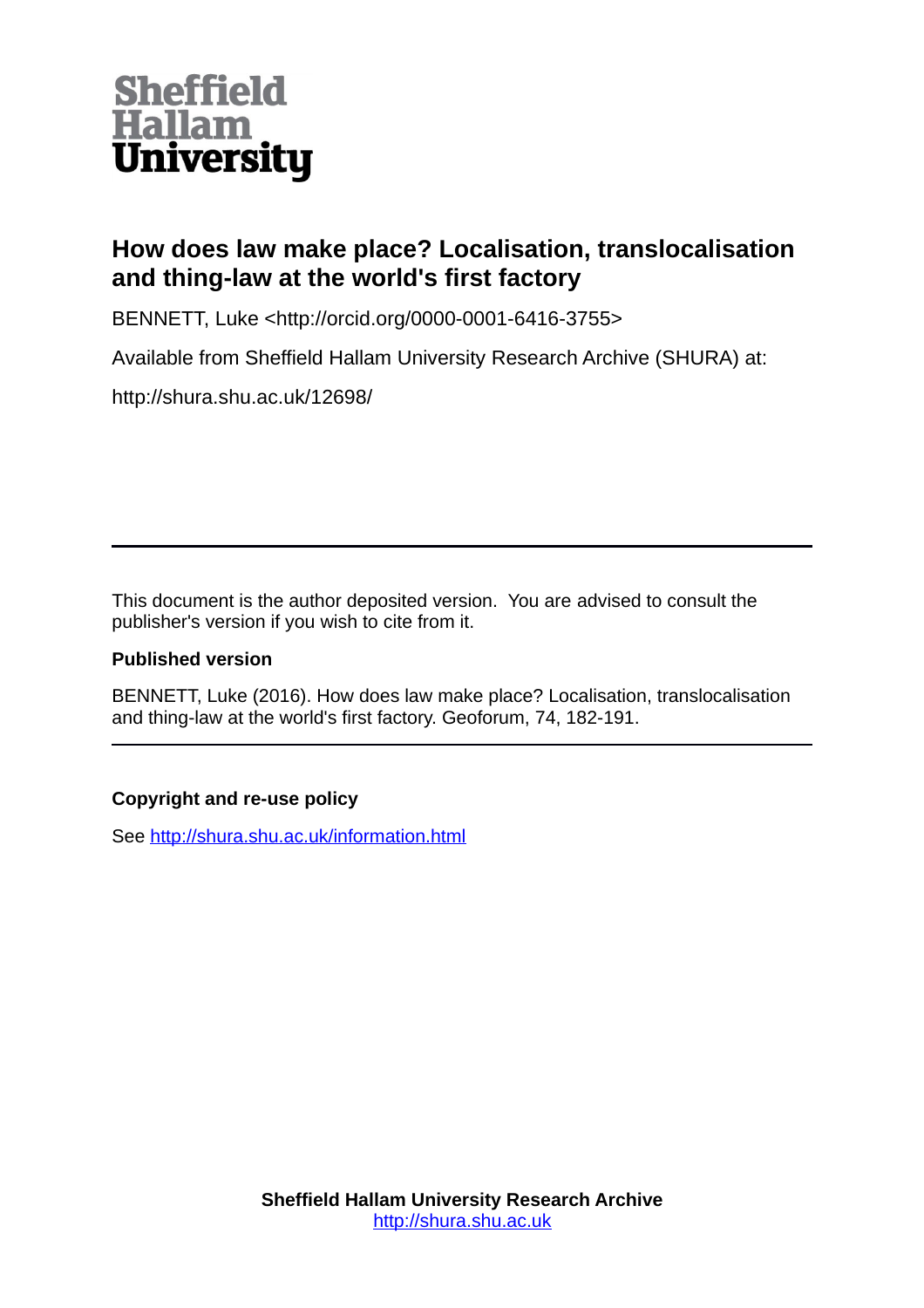

# **How does law make place? Localisation, translocalisation and thing-law at the world's first factory**

BENNETT, Luke <http://orcid.org/0000-0001-6416-3755>

Available from Sheffield Hallam University Research Archive (SHURA) at:

http://shura.shu.ac.uk/12698/

This document is the author deposited version. You are advised to consult the publisher's version if you wish to cite from it.

#### **Published version**

BENNETT, Luke (2016). How does law make place? Localisation, translocalisation and thing-law at the world's first factory. Geoforum, 74, 182-191.

### **Copyright and re-use policy**

See<http://shura.shu.ac.uk/information.html>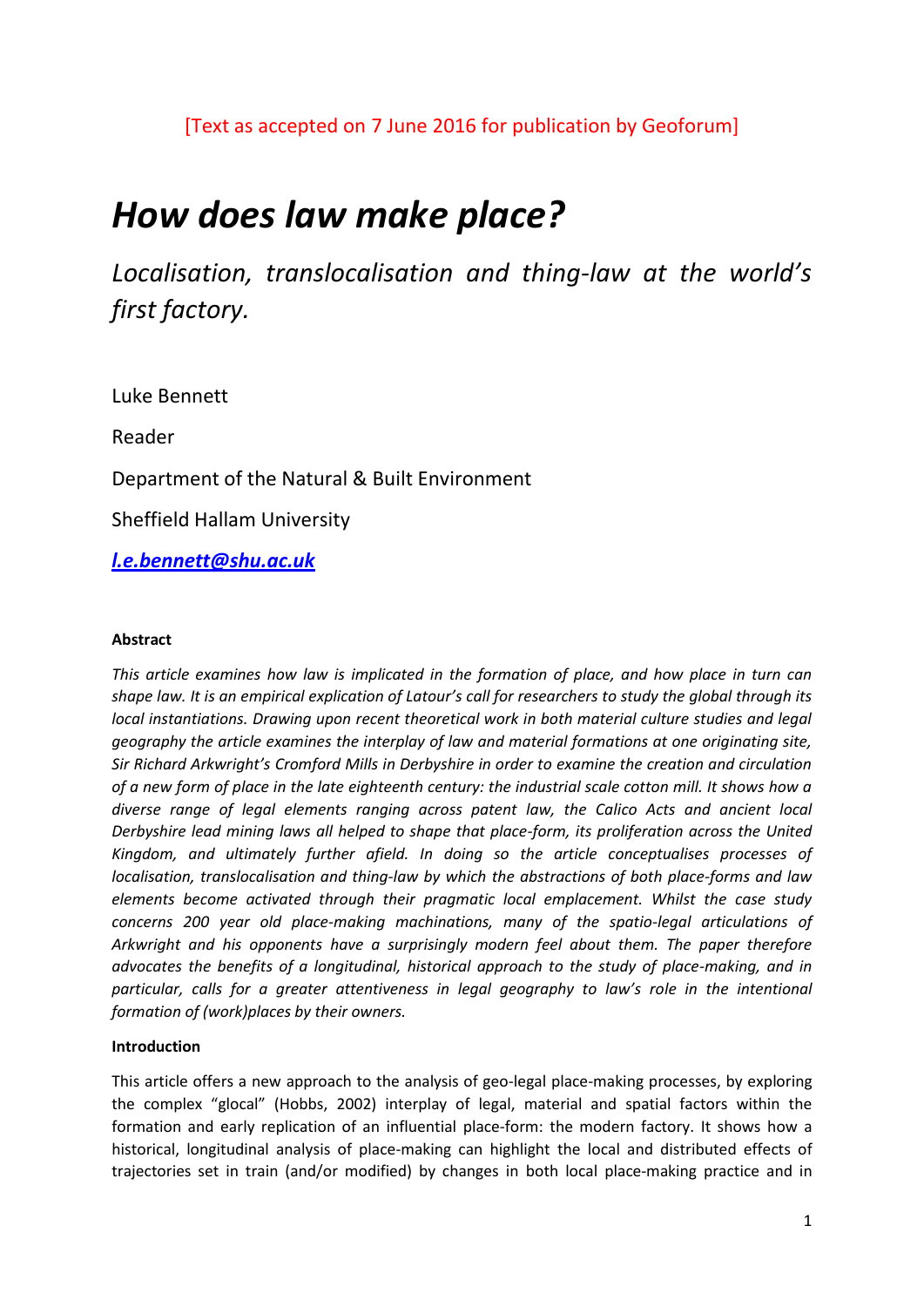## [Text as accepted on 7 June 2016 for publication by Geoforum]

# *How does law make place?*

*Localisation, translocalisation and thing-law at the world's first factory.*

Luke Bennett Reader Department of the Natural & Built Environment Sheffield Hallam University *[l.e.bennett@shu.ac.uk](mailto:l.e.bennett@shu.ac.uk)*

#### **Abstract**

*This article examines how law is implicated in the formation of place, and how place in turn can shape law. It is an empirical explication of Latour's call for researchers to study the global through its local instantiations. Drawing upon recent theoretical work in both material culture studies and legal geography the article examines the interplay of law and material formations at one originating site, Sir Richard Arkwright's Cromford Mills in Derbyshire in order to examine the creation and circulation of a new form of place in the late eighteenth century: the industrial scale cotton mill. It shows how a diverse range of legal elements ranging across patent law, the Calico Acts and ancient local Derbyshire lead mining laws all helped to shape that place-form, its proliferation across the United Kingdom, and ultimately further afield. In doing so the article conceptualises processes of localisation, translocalisation and thing-law by which the abstractions of both place-forms and law elements become activated through their pragmatic local emplacement. Whilst the case study concerns 200 year old place-making machinations, many of the spatio-legal articulations of Arkwright and his opponents have a surprisingly modern feel about them. The paper therefore advocates the benefits of a longitudinal, historical approach to the study of place-making, and in particular, calls for a greater attentiveness in legal geography to law's role in the intentional formation of (work)places by their owners.*

#### **Introduction**

This article offers a new approach to the analysis of geo-legal place-making processes, by exploring the complex "glocal" (Hobbs, 2002) interplay of legal, material and spatial factors within the formation and early replication of an influential place-form: the modern factory. It shows how a historical, longitudinal analysis of place-making can highlight the local and distributed effects of trajectories set in train (and/or modified) by changes in both local place-making practice and in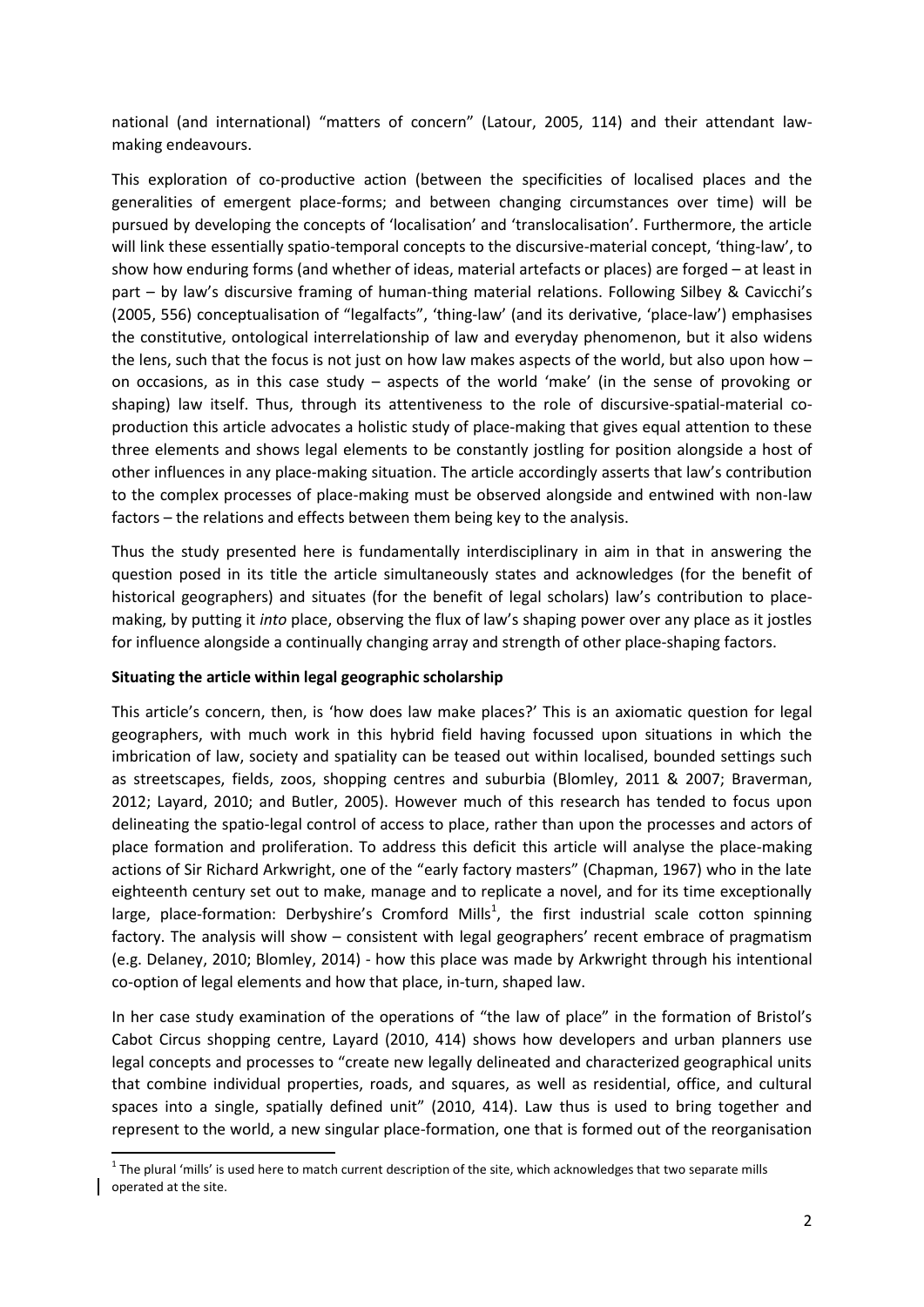national (and international) "matters of concern" (Latour, 2005, 114) and their attendant lawmaking endeavours.

This exploration of co-productive action (between the specificities of localised places and the generalities of emergent place-forms; and between changing circumstances over time) will be pursued by developing the concepts of 'localisation' and 'translocalisation'. Furthermore, the article will link these essentially spatio-temporal concepts to the discursive-material concept, 'thing-law', to show how enduring forms (and whether of ideas, material artefacts or places) are forged – at least in part – by law's discursive framing of human-thing material relations. Following Silbey & Cavicchi's (2005, 556) conceptualisation of "legalfacts", 'thing-law' (and its derivative, 'place-law') emphasises the constitutive, ontological interrelationship of law and everyday phenomenon, but it also widens the lens, such that the focus is not just on how law makes aspects of the world, but also upon how – on occasions, as in this case study – aspects of the world 'make' (in the sense of provoking or shaping) law itself. Thus, through its attentiveness to the role of discursive-spatial-material coproduction this article advocates a holistic study of place-making that gives equal attention to these three elements and shows legal elements to be constantly jostling for position alongside a host of other influences in any place-making situation. The article accordingly asserts that law's contribution to the complex processes of place-making must be observed alongside and entwined with non-law factors – the relations and effects between them being key to the analysis.

Thus the study presented here is fundamentally interdisciplinary in aim in that in answering the question posed in its title the article simultaneously states and acknowledges (for the benefit of historical geographers) and situates (for the benefit of legal scholars) law's contribution to placemaking, by putting it *into* place, observing the flux of law's shaping power over any place as it jostles for influence alongside a continually changing array and strength of other place-shaping factors.

#### **Situating the article within legal geographic scholarship**

**.** 

This article's concern, then, is 'how does law make places?' This is an axiomatic question for legal geographers, with much work in this hybrid field having focussed upon situations in which the imbrication of law, society and spatiality can be teased out within localised, bounded settings such as streetscapes, fields, zoos, shopping centres and suburbia (Blomley, 2011 & 2007; Braverman, 2012; Layard, 2010; and Butler, 2005). However much of this research has tended to focus upon delineating the spatio-legal control of access to place, rather than upon the processes and actors of place formation and proliferation. To address this deficit this article will analyse the place-making actions of Sir Richard Arkwright, one of the "early factory masters" (Chapman, 1967) who in the late eighteenth century set out to make, manage and to replicate a novel, and for its time exceptionally large, place-formation: Derbyshire's Cromford Mills<sup>1</sup>, the first industrial scale cotton spinning factory. The analysis will show – consistent with legal geographers' recent embrace of pragmatism (e.g. Delaney, 2010; Blomley, 2014) - how this place was made by Arkwright through his intentional co-option of legal elements and how that place, in-turn, shaped law.

In her case study examination of the operations of "the law of place" in the formation of Bristol's Cabot Circus shopping centre, Layard (2010, 414) shows how developers and urban planners use legal concepts and processes to "create new legally delineated and characterized geographical units that combine individual properties, roads, and squares, as well as residential, office, and cultural spaces into a single, spatially defined unit" (2010, 414). Law thus is used to bring together and represent to the world, a new singular place-formation, one that is formed out of the reorganisation

 $1$  The plural 'mills' is used here to match current description of the site, which acknowledges that two separate mills operated at the site.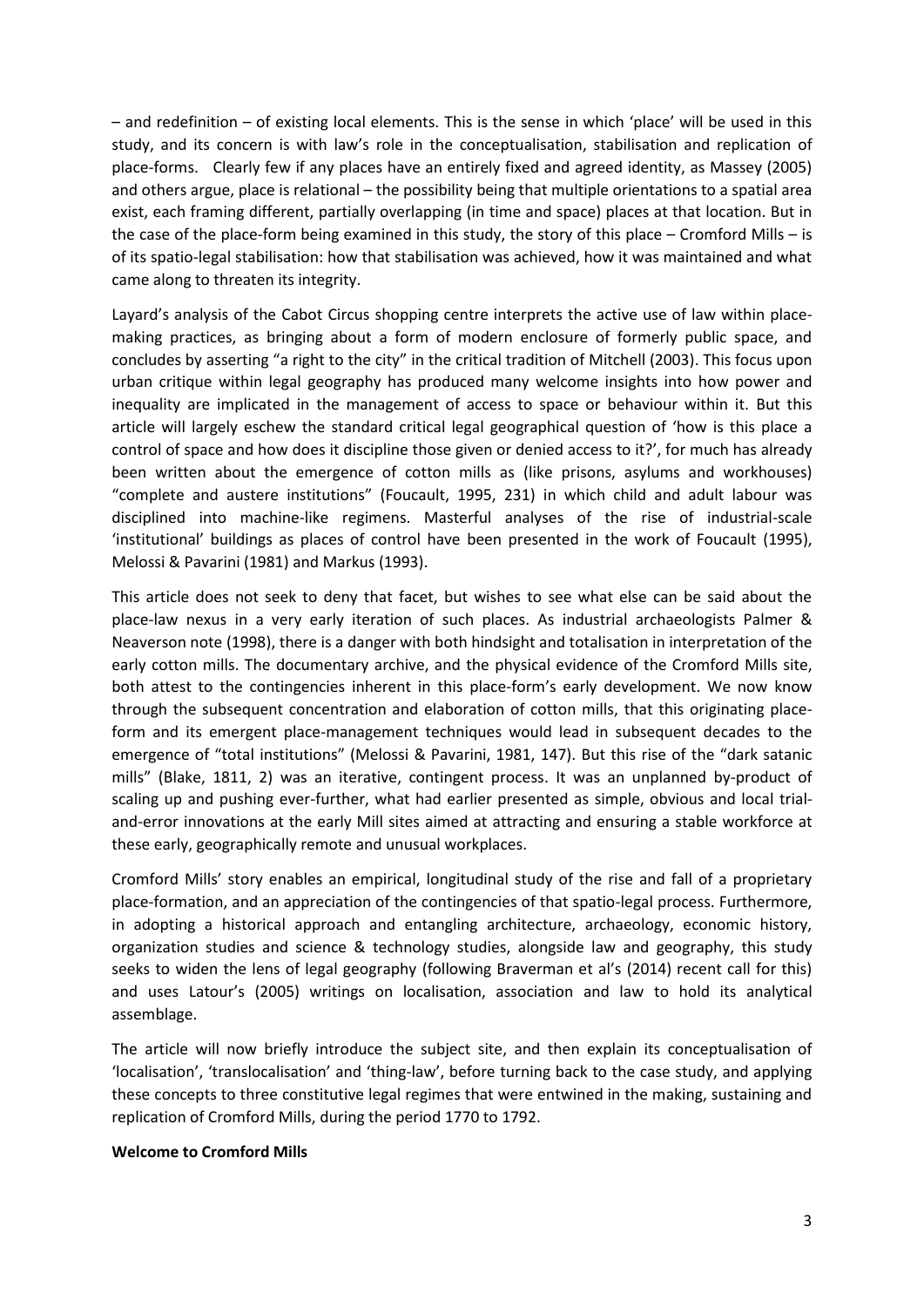– and redefinition – of existing local elements. This is the sense in which 'place' will be used in this study, and its concern is with law's role in the conceptualisation, stabilisation and replication of place-forms. Clearly few if any places have an entirely fixed and agreed identity, as Massey (2005) and others argue, place is relational – the possibility being that multiple orientations to a spatial area exist, each framing different, partially overlapping (in time and space) places at that location. But in the case of the place-form being examined in this study, the story of this place – Cromford Mills – is of its spatio-legal stabilisation: how that stabilisation was achieved, how it was maintained and what came along to threaten its integrity.

Layard's analysis of the Cabot Circus shopping centre interprets the active use of law within placemaking practices, as bringing about a form of modern enclosure of formerly public space, and concludes by asserting "a right to the city" in the critical tradition of Mitchell (2003). This focus upon urban critique within legal geography has produced many welcome insights into how power and inequality are implicated in the management of access to space or behaviour within it. But this article will largely eschew the standard critical legal geographical question of 'how is this place a control of space and how does it discipline those given or denied access to it?', for much has already been written about the emergence of cotton mills as (like prisons, asylums and workhouses) "complete and austere institutions" (Foucault, 1995, 231) in which child and adult labour was disciplined into machine-like regimens. Masterful analyses of the rise of industrial-scale 'institutional' buildings as places of control have been presented in the work of Foucault (1995), Melossi & Pavarini (1981) and Markus (1993).

This article does not seek to deny that facet, but wishes to see what else can be said about the place-law nexus in a very early iteration of such places. As industrial archaeologists Palmer & Neaverson note (1998), there is a danger with both hindsight and totalisation in interpretation of the early cotton mills. The documentary archive, and the physical evidence of the Cromford Mills site, both attest to the contingencies inherent in this place-form's early development. We now know through the subsequent concentration and elaboration of cotton mills, that this originating placeform and its emergent place-management techniques would lead in subsequent decades to the emergence of "total institutions" (Melossi & Pavarini, 1981, 147). But this rise of the "dark satanic mills" (Blake, 1811, 2) was an iterative, contingent process. It was an unplanned by-product of scaling up and pushing ever-further, what had earlier presented as simple, obvious and local trialand-error innovations at the early Mill sites aimed at attracting and ensuring a stable workforce at these early, geographically remote and unusual workplaces.

Cromford Mills' story enables an empirical, longitudinal study of the rise and fall of a proprietary place-formation, and an appreciation of the contingencies of that spatio-legal process. Furthermore, in adopting a historical approach and entangling architecture, archaeology, economic history, organization studies and science & technology studies, alongside law and geography, this study seeks to widen the lens of legal geography (following Braverman et al's (2014) recent call for this) and uses Latour's (2005) writings on localisation, association and law to hold its analytical assemblage.

The article will now briefly introduce the subject site, and then explain its conceptualisation of 'localisation', 'translocalisation' and 'thing-law', before turning back to the case study, and applying these concepts to three constitutive legal regimes that were entwined in the making, sustaining and replication of Cromford Mills, during the period 1770 to 1792.

#### **Welcome to Cromford Mills**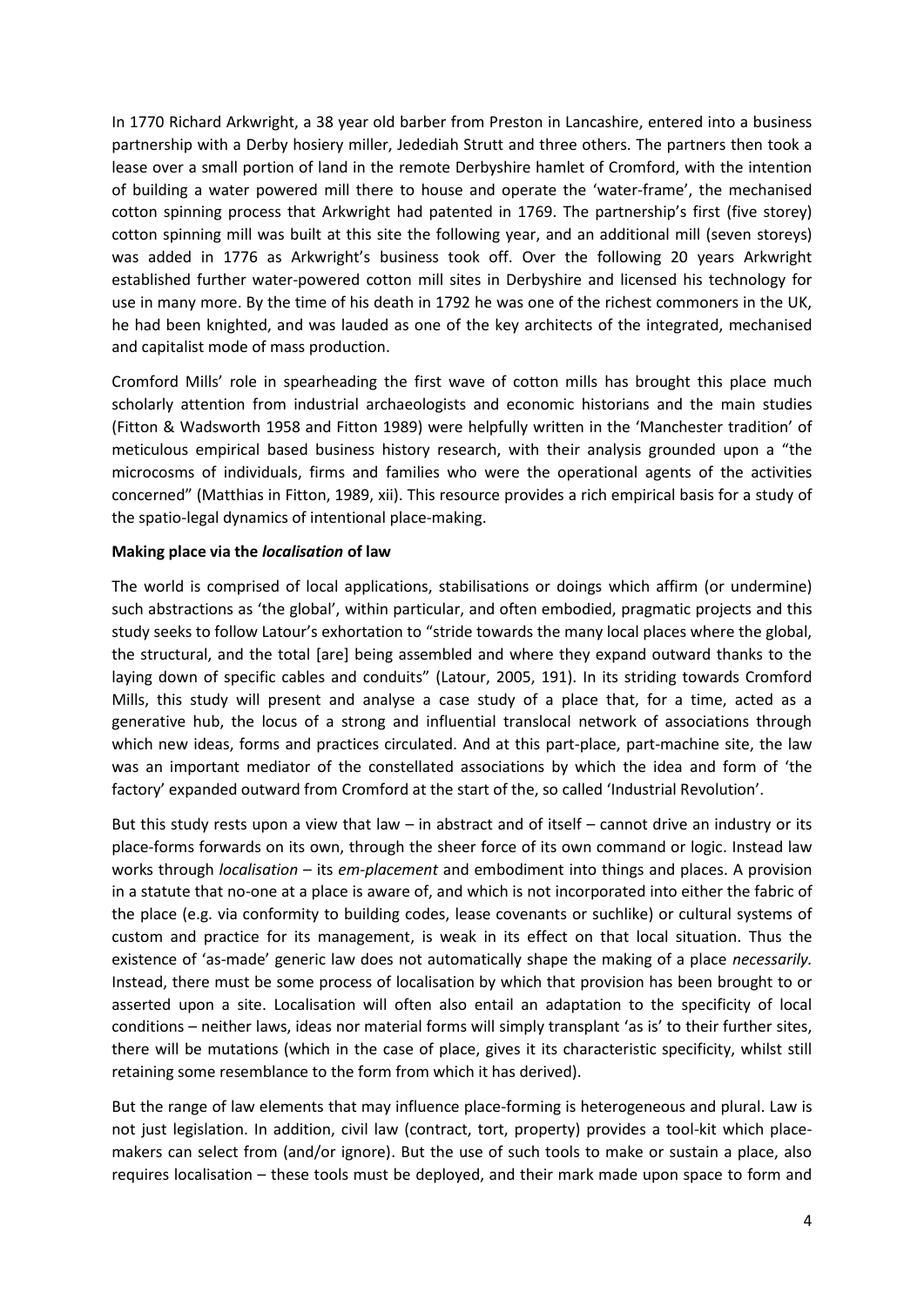In 1770 Richard Arkwright, a 38 year old barber from Preston in Lancashire, entered into a business partnership with a Derby hosiery miller, Jedediah Strutt and three others. The partners then took a lease over a small portion of land in the remote Derbyshire hamlet of Cromford, with the intention of building a water powered mill there to house and operate the 'water-frame', the mechanised cotton spinning process that Arkwright had patented in 1769. The partnership's first (five storey) cotton spinning mill was built at this site the following year, and an additional mill (seven storeys) was added in 1776 as Arkwright's business took off. Over the following 20 years Arkwright established further water-powered cotton mill sites in Derbyshire and licensed his technology for use in many more. By the time of his death in 1792 he was one of the richest commoners in the UK, he had been knighted, and was lauded as one of the key architects of the integrated, mechanised and capitalist mode of mass production.

Cromford Mills' role in spearheading the first wave of cotton mills has brought this place much scholarly attention from industrial archaeologists and economic historians and the main studies (Fitton & Wadsworth 1958 and Fitton 1989) were helpfully written in the 'Manchester tradition' of meticulous empirical based business history research, with their analysis grounded upon a "the microcosms of individuals, firms and families who were the operational agents of the activities concerned" (Matthias in Fitton, 1989, xii). This resource provides a rich empirical basis for a study of the spatio-legal dynamics of intentional place-making.

#### **Making place via the** *localisation* **of law**

The world is comprised of local applications, stabilisations or doings which affirm (or undermine) such abstractions as 'the global', within particular, and often embodied, pragmatic projects and this study seeks to follow Latour's exhortation to "stride towards the many local places where the global, the structural, and the total [are] being assembled and where they expand outward thanks to the laying down of specific cables and conduits" (Latour, 2005, 191). In its striding towards Cromford Mills, this study will present and analyse a case study of a place that, for a time, acted as a generative hub, the locus of a strong and influential translocal network of associations through which new ideas, forms and practices circulated. And at this part-place, part-machine site, the law was an important mediator of the constellated associations by which the idea and form of 'the factory' expanded outward from Cromford at the start of the, so called 'Industrial Revolution'.

But this study rests upon a view that law – in abstract and of itself – cannot drive an industry or its place-forms forwards on its own, through the sheer force of its own command or logic. Instead law works through *localisation* – its *em-placement* and embodiment into things and places. A provision in a statute that no-one at a place is aware of, and which is not incorporated into either the fabric of the place (e.g. via conformity to building codes, lease covenants or suchlike) or cultural systems of custom and practice for its management, is weak in its effect on that local situation. Thus the existence of 'as-made' generic law does not automatically shape the making of a place *necessarily.* Instead, there must be some process of localisation by which that provision has been brought to or asserted upon a site. Localisation will often also entail an adaptation to the specificity of local conditions – neither laws, ideas nor material forms will simply transplant 'as is' to their further sites, there will be mutations (which in the case of place, gives it its characteristic specificity, whilst still retaining some resemblance to the form from which it has derived).

But the range of law elements that may influence place-forming is heterogeneous and plural. Law is not just legislation. In addition, civil law (contract, tort, property) provides a tool-kit which placemakers can select from (and/or ignore). But the use of such tools to make or sustain a place, also requires localisation – these tools must be deployed, and their mark made upon space to form and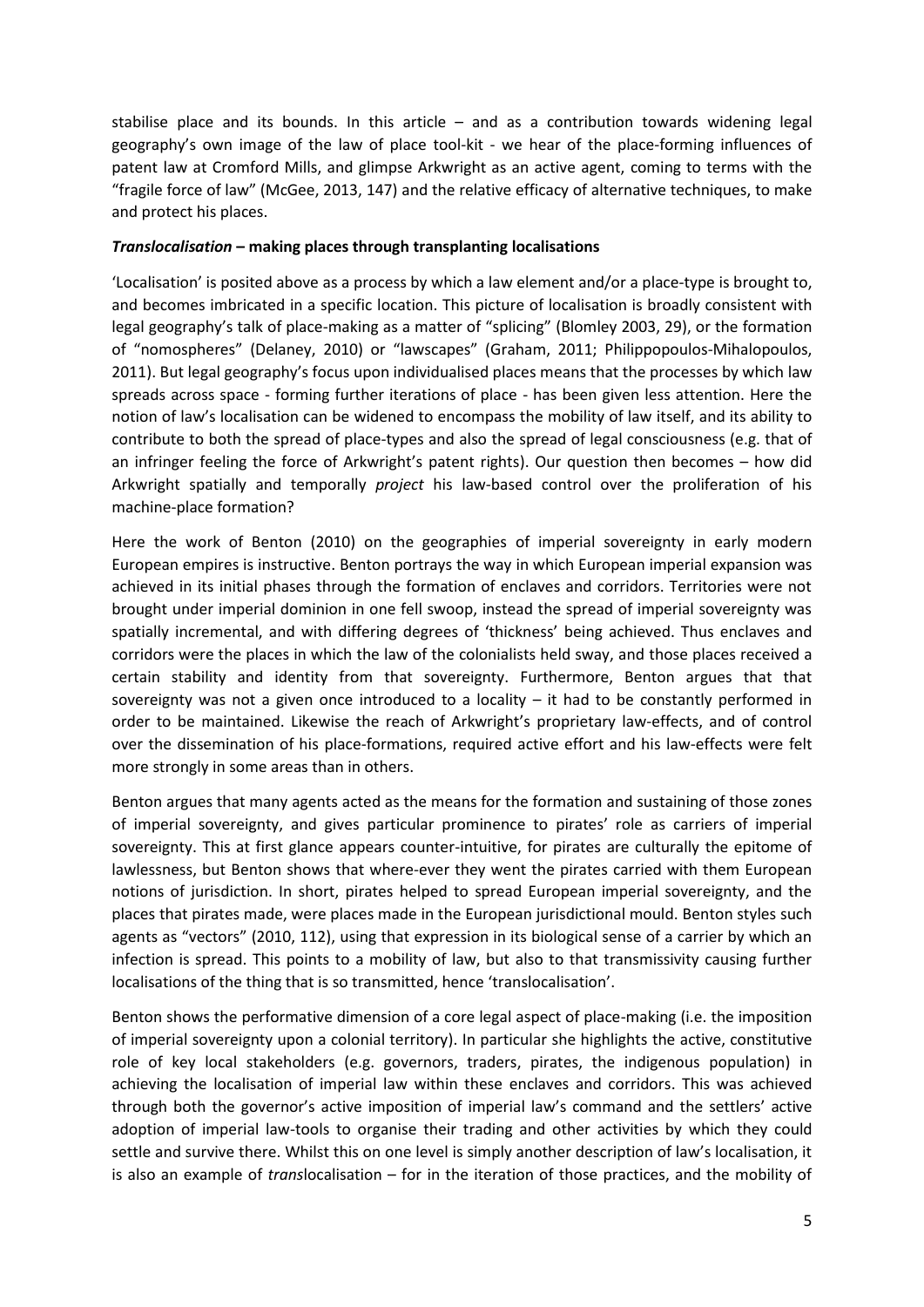stabilise place and its bounds. In this article – and as a contribution towards widening legal geography's own image of the law of place tool-kit - we hear of the place-forming influences of patent law at Cromford Mills, and glimpse Arkwright as an active agent, coming to terms with the "fragile force of law" (McGee, 2013, 147) and the relative efficacy of alternative techniques, to make and protect his places.

#### *Translocalisation* **– making places through transplanting localisations**

'Localisation' is posited above as a process by which a law element and/or a place-type is brought to, and becomes imbricated in a specific location. This picture of localisation is broadly consistent with legal geography's talk of place-making as a matter of "splicing" (Blomley 2003, 29), or the formation of "nomospheres" (Delaney, 2010) or "lawscapes" (Graham, 2011; Philippopoulos-Mihalopoulos, 2011). But legal geography's focus upon individualised places means that the processes by which law spreads across space - forming further iterations of place - has been given less attention. Here the notion of law's localisation can be widened to encompass the mobility of law itself, and its ability to contribute to both the spread of place-types and also the spread of legal consciousness (e.g. that of an infringer feeling the force of Arkwright's patent rights). Our question then becomes – how did Arkwright spatially and temporally *project* his law-based control over the proliferation of his machine-place formation?

Here the work of Benton (2010) on the geographies of imperial sovereignty in early modern European empires is instructive. Benton portrays the way in which European imperial expansion was achieved in its initial phases through the formation of enclaves and corridors. Territories were not brought under imperial dominion in one fell swoop, instead the spread of imperial sovereignty was spatially incremental, and with differing degrees of 'thickness' being achieved. Thus enclaves and corridors were the places in which the law of the colonialists held sway, and those places received a certain stability and identity from that sovereignty. Furthermore, Benton argues that that sovereignty was not a given once introduced to a locality  $-$  it had to be constantly performed in order to be maintained. Likewise the reach of Arkwright's proprietary law-effects, and of control over the dissemination of his place-formations, required active effort and his law-effects were felt more strongly in some areas than in others.

Benton argues that many agents acted as the means for the formation and sustaining of those zones of imperial sovereignty, and gives particular prominence to pirates' role as carriers of imperial sovereignty. This at first glance appears counter-intuitive, for pirates are culturally the epitome of lawlessness, but Benton shows that where-ever they went the pirates carried with them European notions of jurisdiction. In short, pirates helped to spread European imperial sovereignty, and the places that pirates made, were places made in the European jurisdictional mould. Benton styles such agents as "vectors" (2010, 112), using that expression in its biological sense of a carrier by which an infection is spread. This points to a mobility of law, but also to that transmissivity causing further localisations of the thing that is so transmitted, hence 'translocalisation'.

Benton shows the performative dimension of a core legal aspect of place-making (i.e. the imposition of imperial sovereignty upon a colonial territory). In particular she highlights the active, constitutive role of key local stakeholders (e.g. governors, traders, pirates, the indigenous population) in achieving the localisation of imperial law within these enclaves and corridors. This was achieved through both the governor's active imposition of imperial law's command and the settlers' active adoption of imperial law-tools to organise their trading and other activities by which they could settle and survive there. Whilst this on one level is simply another description of law's localisation, it is also an example of *trans*localisation – for in the iteration of those practices, and the mobility of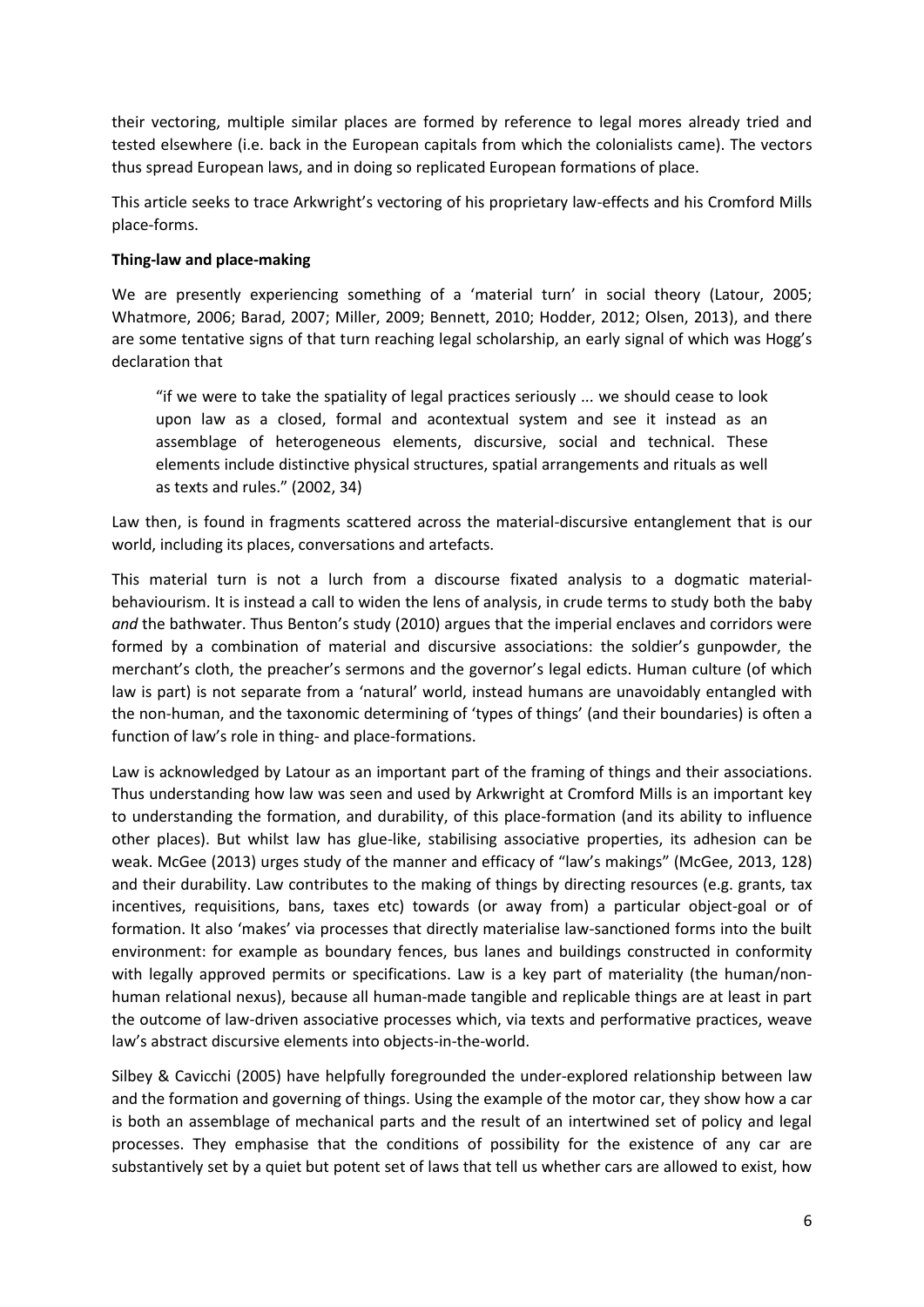their vectoring, multiple similar places are formed by reference to legal mores already tried and tested elsewhere (i.e. back in the European capitals from which the colonialists came). The vectors thus spread European laws, and in doing so replicated European formations of place.

This article seeks to trace Arkwright's vectoring of his proprietary law-effects and his Cromford Mills place-forms.

#### **Thing-law and place-making**

We are presently experiencing something of a 'material turn' in social theory (Latour, 2005; Whatmore, 2006; Barad, 2007; Miller, 2009; Bennett, 2010; Hodder, 2012; Olsen, 2013), and there are some tentative signs of that turn reaching legal scholarship, an early signal of which was Hogg's declaration that

"if we were to take the spatiality of legal practices seriously ... we should cease to look upon law as a closed, formal and acontextual system and see it instead as an assemblage of heterogeneous elements, discursive, social and technical. These elements include distinctive physical structures, spatial arrangements and rituals as well as texts and rules." (2002, 34)

Law then, is found in fragments scattered across the material-discursive entanglement that is our world, including its places, conversations and artefacts.

This material turn is not a lurch from a discourse fixated analysis to a dogmatic materialbehaviourism. It is instead a call to widen the lens of analysis, in crude terms to study both the baby and the bathwater. Thus Benton's study (2010) argues that the imperial enclaves and corridors were formed by a combination of material and discursive associations: the soldier's gunpowder, the merchant's cloth, the preacher's sermons and the governor's legal edicts. Human culture (of which law is part) is not separate from a 'natural' world, instead humans are unavoidably entangled with the non-human, and the taxonomic determining of 'types of things' (and their boundaries) is often a function of law's role in thing- and place-formations.

Law is acknowledged by Latour as an important part of the framing of things and their associations. Thus understanding how law was seen and used by Arkwright at Cromford Mills is an important key to understanding the formation, and durability, of this place-formation (and its ability to influence other places). But whilst law has glue-like, stabilising associative properties, its adhesion can be weak. McGee (2013) urges study of the manner and efficacy of "law's makings" (McGee, 2013, 128) and their durability. Law contributes to the making of things by directing resources (e.g. grants, tax incentives, requisitions, bans, taxes etc) towards (or away from) a particular object-goal or of formation. It also 'makes' via processes that directly materialise law-sanctioned forms into the built environment: for example as boundary fences, bus lanes and buildings constructed in conformity with legally approved permits or specifications. Law is a key part of materiality (the human/nonhuman relational nexus), because all human-made tangible and replicable things are at least in part the outcome of law-driven associative processes which, via texts and performative practices, weave law's abstract discursive elements into objects-in-the-world.

Silbey & Cavicchi (2005) have helpfully foregrounded the under-explored relationship between law and the formation and governing of things. Using the example of the motor car, they show how a car is both an assemblage of mechanical parts and the result of an intertwined set of policy and legal processes. They emphasise that the conditions of possibility for the existence of any car are substantively set by a quiet but potent set of laws that tell us whether cars are allowed to exist, how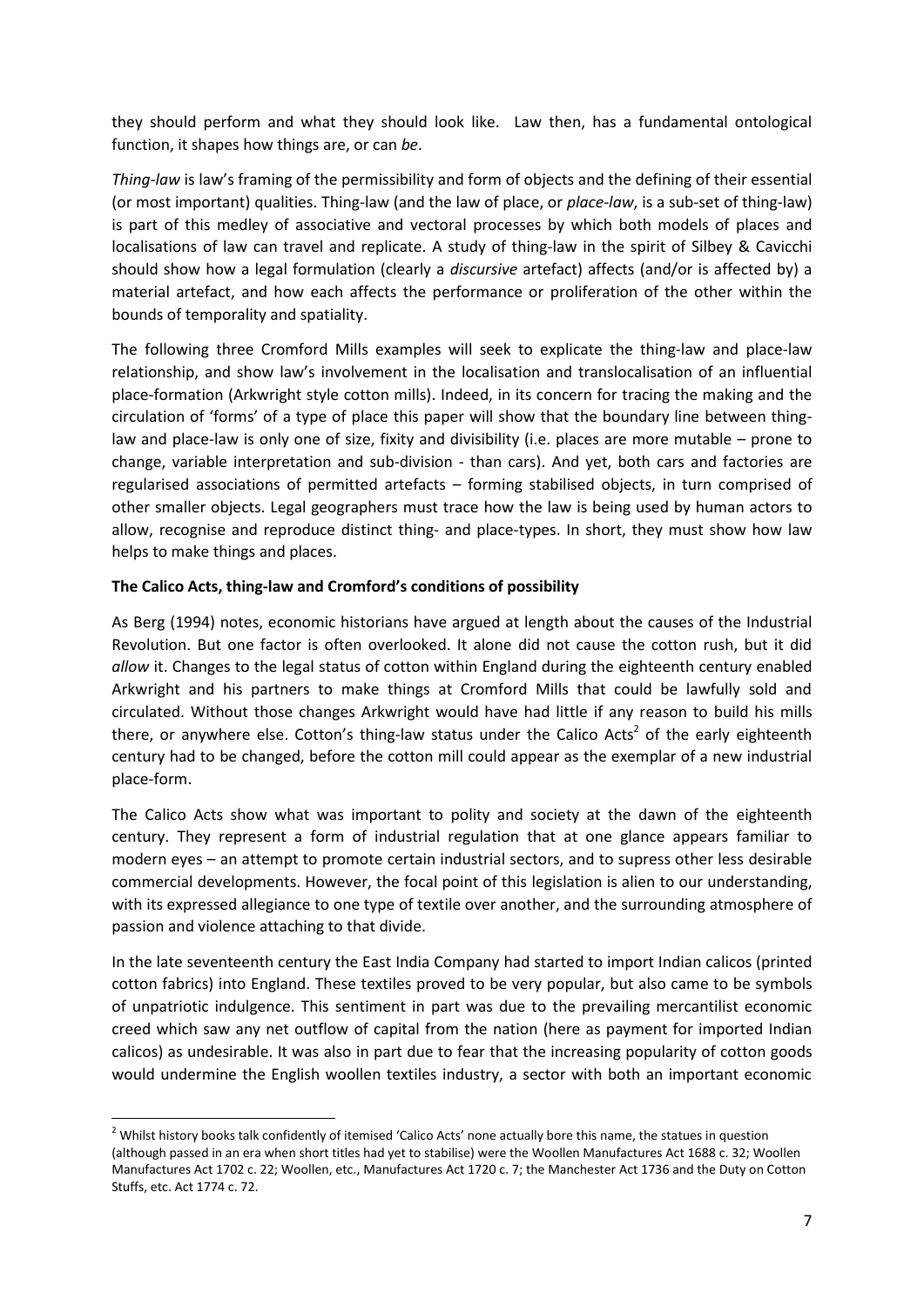they should perform and what they should look like. Law then, has a fundamental ontological function, it shapes how things are, or can *be*.

*Thing-law* is law's framing of the permissibility and form of objects and the defining of their essential (or most important) qualities. Thing-law (and the law of place, or *place-law*, is a sub-set of thing-law) is part of this medley of associative and vectoral processes by which both models of places and localisations of law can travel and replicate. A study of thing-law in the spirit of Silbey & Cavicchi should show how a legal formulation (clearly a *discursive* artefact) affects (and/or is affected by) a material artefact, and how each affects the performance or proliferation of the other within the bounds of temporality and spatiality.

The following three Cromford Mills examples will seek to explicate the thing-law and place-law relationship, and show law's involvement in the localisation and translocalisation of an influential place-formation (Arkwright style cotton mills). Indeed, in its concern for tracing the making and the circulation of 'forms' of a type of place this paper will show that the boundary line between thinglaw and place-law is only one of size, fixity and divisibility (i.e. places are more mutable – prone to change, variable interpretation and sub-division - than cars). And yet, both cars and factories are regularised associations of permitted artefacts – forming stabilised objects, in turn comprised of other smaller objects. Legal geographers must trace how the law is being used by human actors to allow, recognise and reproduce distinct thing- and place-types. In short, they must show how law helps to make things and places.

#### **The Calico Acts, thing-law and Cromford's conditions of possibility**

1

As Berg (1994) notes, economic historians have argued at length about the causes of the Industrial Revolution. But one factor is often overlooked. It alone did not cause the cotton rush, but it did *allow* it. Changes to the legal status of cotton within England during the eighteenth century enabled Arkwright and his partners to make things at Cromford Mills that could be lawfully sold and circulated. Without those changes Arkwright would have had little if any reason to build his mills there, or anywhere else. Cotton's thing-law status under the Calico Acts<sup>2</sup> of the early eighteenth century had to be changed, before the cotton mill could appear as the exemplar of a new industrial place-form.

The Calico Acts show what was important to polity and society at the dawn of the eighteenth century. They represent a form of industrial regulation that at one glance appears familiar to modern eyes – an attempt to promote certain industrial sectors, and to supress other less desirable commercial developments. However, the focal point of this legislation is alien to our understanding, with its expressed allegiance to one type of textile over another, and the surrounding atmosphere of passion and violence attaching to that divide.

In the late seventeenth century the East India Company had started to import Indian calicos (printed cotton fabrics) into England. These textiles proved to be very popular, but also came to be symbols of unpatriotic indulgence. This sentiment in part was due to the prevailing mercantilist economic creed which saw any net outflow of capital from the nation (here as payment for imported Indian calicos) as undesirable. It was also in part due to fear that the increasing popularity of cotton goods would undermine the English woollen textiles industry, a sector with both an important economic

 $2$  Whilst history books talk confidently of itemised 'Calico Acts' none actually bore this name, the statues in question (although passed in an era when short titles had yet to stabilise) were the [Woollen Manufactures Act 1688](https://exchange.shu.ac.uk/owa/redir.aspx?C=aguZvsI-D0CDiKw9RTUTyTprXRW8RNIImLPfpXHEr2XIsBuPqKV9bRe9noGQhW8HSAZrHk3mr4k.&URL=http%3a%2f%2fen.wikipedia.org%2fw%2findex.php%3ftitle%3dWoollen_Manufactures_Act_1688%26action%3dedit%26redlink%3d1) c. 32[; Woollen](https://exchange.shu.ac.uk/owa/redir.aspx?C=aguZvsI-D0CDiKw9RTUTyTprXRW8RNIImLPfpXHEr2XIsBuPqKV9bRe9noGQhW8HSAZrHk3mr4k.&URL=http%3a%2f%2fen.wikipedia.org%2fw%2findex.php%3ftitle%3dWoollen_Manufactures_Act_1702%26action%3dedit%26redlink%3d1)  [Manufactures Act 1702](https://exchange.shu.ac.uk/owa/redir.aspx?C=aguZvsI-D0CDiKw9RTUTyTprXRW8RNIImLPfpXHEr2XIsBuPqKV9bRe9noGQhW8HSAZrHk3mr4k.&URL=http%3a%2f%2fen.wikipedia.org%2fw%2findex.php%3ftitle%3dWoollen_Manufactures_Act_1702%26action%3dedit%26redlink%3d1) c. 22[; Woollen, etc., Manufactures Act 1720](https://exchange.shu.ac.uk/owa/redir.aspx?C=aguZvsI-D0CDiKw9RTUTyTprXRW8RNIImLPfpXHEr2XIsBuPqKV9bRe9noGQhW8HSAZrHk3mr4k.&URL=http%3a%2f%2fen.wikipedia.org%2fw%2findex.php%3ftitle%3dWoollen%2c_etc.%2c_Manufactures_Act_1720%26action%3dedit%26redlink%3d1) c. 7; the Manchester Act 1736 and th[e Duty on Cotton](https://exchange.shu.ac.uk/owa/redir.aspx?C=aguZvsI-D0CDiKw9RTUTyTprXRW8RNIImLPfpXHEr2XIsBuPqKV9bRe9noGQhW8HSAZrHk3mr4k.&URL=http%3a%2f%2fen.wikipedia.org%2fw%2findex.php%3ftitle%3dDuty_on_Cotton_Stuffs%2c_etc._Act_1774%26action%3dedit%26redlink%3d1)  [Stuffs, etc. Act 1774](https://exchange.shu.ac.uk/owa/redir.aspx?C=aguZvsI-D0CDiKw9RTUTyTprXRW8RNIImLPfpXHEr2XIsBuPqKV9bRe9noGQhW8HSAZrHk3mr4k.&URL=http%3a%2f%2fen.wikipedia.org%2fw%2findex.php%3ftitle%3dDuty_on_Cotton_Stuffs%2c_etc._Act_1774%26action%3dedit%26redlink%3d1) c. 72.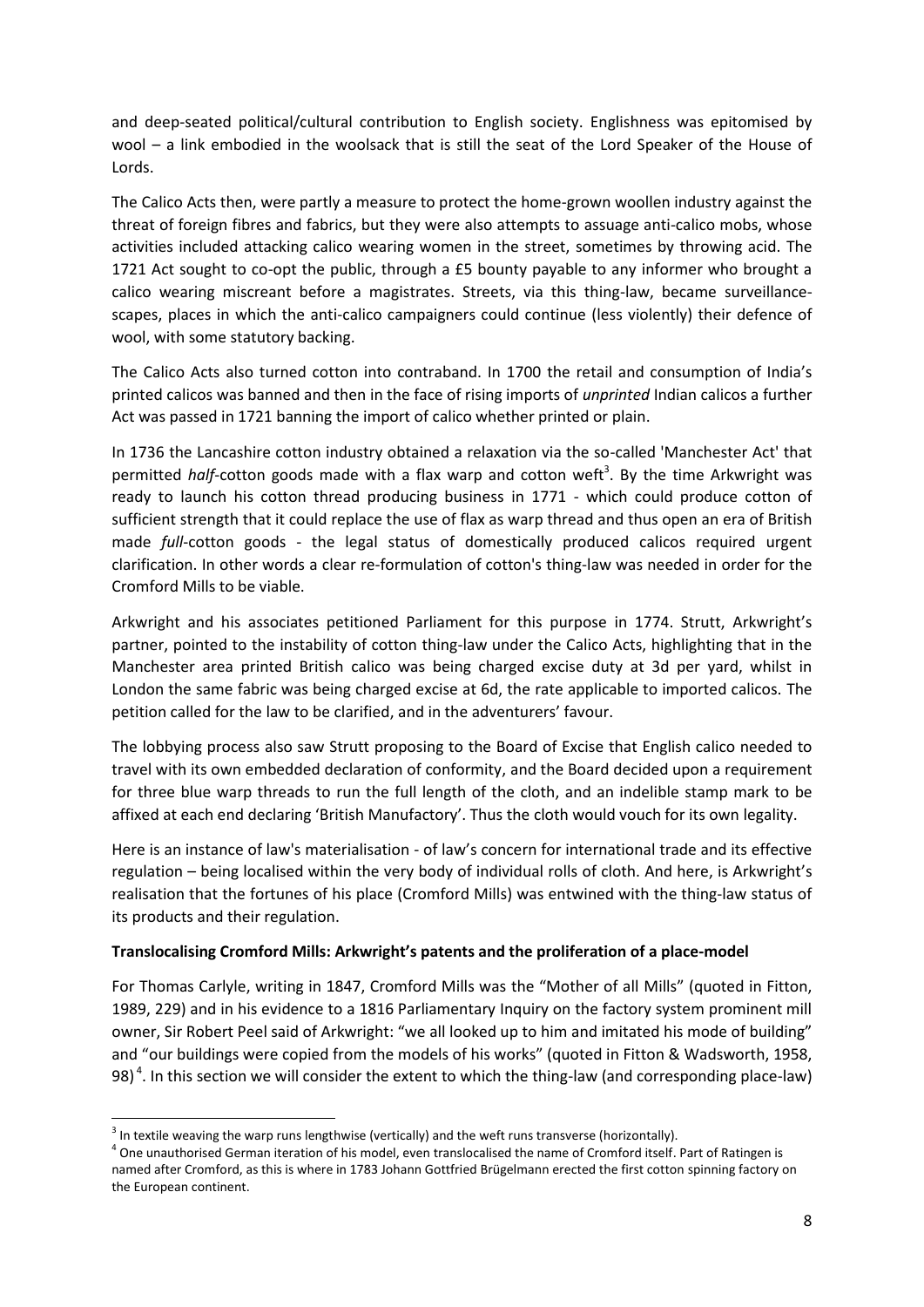and deep-seated political/cultural contribution to English society. Englishness was epitomised by wool – a link embodied in the woolsack that is still the seat of the Lord Speaker of the House of Lords.

The Calico Acts then, were partly a measure to protect the home-grown woollen industry against the threat of foreign fibres and fabrics, but they were also attempts to assuage anti-calico mobs, whose activities included attacking calico wearing women in the street, sometimes by throwing acid. The 1721 Act sought to co-opt the public, through a £5 bounty payable to any informer who brought a calico wearing miscreant before a magistrates. Streets, via this thing-law, became surveillancescapes, places in which the anti-calico campaigners could continue (less violently) their defence of wool, with some statutory backing.

The Calico Acts also turned cotton into contraband. In 1700 the retail and consumption of India's printed calicos was banned and then in the face of rising imports of *unprinted* Indian calicos a further Act was passed in 1721 banning the import of calico whether printed or plain.

In 1736 the Lancashire cotton industry obtained a relaxation via the so-called 'Manchester Act' that permitted *half*-cotton goods made with a flax warp and cotton weft<sup>3</sup>. By the time Arkwright was ready to launch his cotton thread producing business in 1771 - which could produce cotton of sufficient strength that it could replace the use of flax as warp thread and thus open an era of British made *full*-cotton goods - the legal status of domestically produced calicos required urgent clarification. In other words a clear re-formulation of cotton's thing-law was needed in order for the Cromford Mills to be viable.

Arkwright and his associates petitioned Parliament for this purpose in 1774. Strutt, Arkwright's partner, pointed to the instability of cotton thing-law under the Calico Acts, highlighting that in the Manchester area printed British calico was being charged excise duty at 3d per yard, whilst in London the same fabric was being charged excise at 6d, the rate applicable to imported calicos. The petition called for the law to be clarified, and in the adventurers' favour.

The lobbying process also saw Strutt proposing to the Board of Excise that English calico needed to travel with its own embedded declaration of conformity, and the Board decided upon a requirement for three blue warp threads to run the full length of the cloth, and an indelible stamp mark to be affixed at each end declaring 'British Manufactory'. Thus the cloth would vouch for its own legality.

Here is an instance of law's materialisation - of law's concern for international trade and its effective regulation – being localised within the very body of individual rolls of cloth. And here, is Arkwright's realisation that the fortunes of his place (Cromford Mills) was entwined with the thing-law status of its products and their regulation.

#### **Translocalising Cromford Mills: Arkwright's patents and the proliferation of a place-model**

For Thomas Carlyle, writing in 1847, Cromford Mills was the "Mother of all Mills" (quoted in Fitton, 1989, 229) and in his evidence to a 1816 Parliamentary Inquiry on the factory system prominent mill owner, Sir Robert Peel said of Arkwright: "we all looked up to him and imitated his mode of building" and "our buildings were copied from the models of his works" (quoted in Fitton & Wadsworth, 1958, 98)<sup>4</sup>. In this section we will consider the extent to which the thing-law (and corresponding place-law)

1

 $3$  In textile weaving the warp runs lengthwise (vertically) and the weft runs transverse (horizontally).

<sup>&</sup>lt;sup>4</sup> One unauthorised German iteration of his model, even translocalised the name of Cromford itself. Part of Ratingen is named after Cromford, as this is where in 1783 Johann Gottfried Brügelmann erected the first cotton spinning factory on the European continent.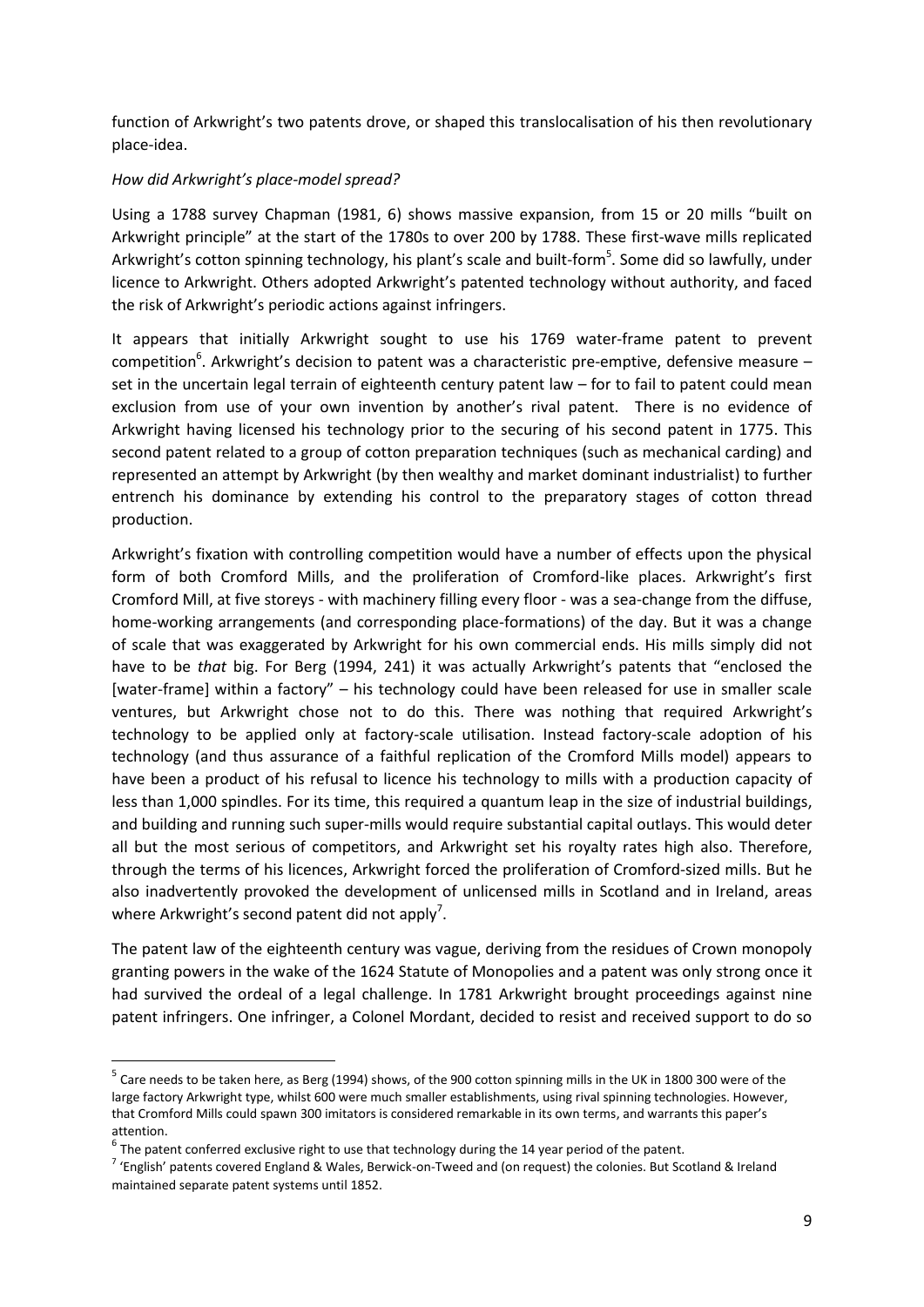function of Arkwright's two patents drove, or shaped this translocalisation of his then revolutionary place-idea.

#### *How did Arkwright's place-model spread?*

Using a 1788 survey Chapman (1981, 6) shows massive expansion, from 15 or 20 mills "built on Arkwright principle" at the start of the 1780s to over 200 by 1788. These first-wave mills replicated Arkwright's cotton spinning technology, his plant's scale and built-form<sup>5</sup>. Some did so lawfully, under licence to Arkwright. Others adopted Arkwright's patented technology without authority, and faced the risk of Arkwright's periodic actions against infringers.

It appears that initially Arkwright sought to use his 1769 water-frame patent to prevent competition<sup>6</sup>. Arkwright's decision to patent was a characteristic pre-emptive, defensive measure set in the uncertain legal terrain of eighteenth century patent law – for to fail to patent could mean exclusion from use of your own invention by another's rival patent. There is no evidence of Arkwright having licensed his technology prior to the securing of his second patent in 1775. This second patent related to a group of cotton preparation techniques (such as mechanical carding) and represented an attempt by Arkwright (by then wealthy and market dominant industrialist) to further entrench his dominance by extending his control to the preparatory stages of cotton thread production.

Arkwright's fixation with controlling competition would have a number of effects upon the physical form of both Cromford Mills, and the proliferation of Cromford-like places. Arkwright's first Cromford Mill, at five storeys - with machinery filling every floor - was a sea-change from the diffuse, home-working arrangements (and corresponding place-formations) of the day. But it was a change of scale that was exaggerated by Arkwright for his own commercial ends. His mills simply did not have to be *that* big. For Berg (1994, 241) it was actually Arkwright's patents that "enclosed the [water-frame] within a factory" – his technology could have been released for use in smaller scale ventures, but Arkwright chose not to do this. There was nothing that required Arkwright's technology to be applied only at factory-scale utilisation. Instead factory-scale adoption of his technology (and thus assurance of a faithful replication of the Cromford Mills model) appears to have been a product of his refusal to licence his technology to mills with a production capacity of less than 1,000 spindles. For its time, this required a quantum leap in the size of industrial buildings, and building and running such super-mills would require substantial capital outlays. This would deter all but the most serious of competitors, and Arkwright set his royalty rates high also. Therefore, through the terms of his licences, Arkwright forced the proliferation of Cromford-sized mills. But he also inadvertently provoked the development of unlicensed mills in Scotland and in Ireland, areas where Arkwright's second patent did not apply<sup>7</sup>.

The patent law of the eighteenth century was vague, deriving from the residues of Crown monopoly granting powers in the wake of the 1624 Statute of Monopolies and a patent was only strong once it had survived the ordeal of a legal challenge. In 1781 Arkwright brought proceedings against nine patent infringers. One infringer, a Colonel Mordant, decided to resist and received support to do so

**.** 

<sup>&</sup>lt;sup>5</sup> Care needs to be taken here, as Berg (1994) shows, of the 900 cotton spinning mills in the UK in 1800 300 were of the large factory Arkwright type, whilst 600 were much smaller establishments, using rival spinning technologies. However, that Cromford Mills could spawn 300 imitators is considered remarkable in its own terms, and warrants this paper's attention.

 $^6$  The patent conferred exclusive right to use that technology during the 14 year period of the patent.

<sup>&</sup>lt;sup>7</sup> 'English' patents covered England & Wales, Berwick-on-Tweed and (on request) the colonies. But Scotland & Ireland maintained separate patent systems until 1852.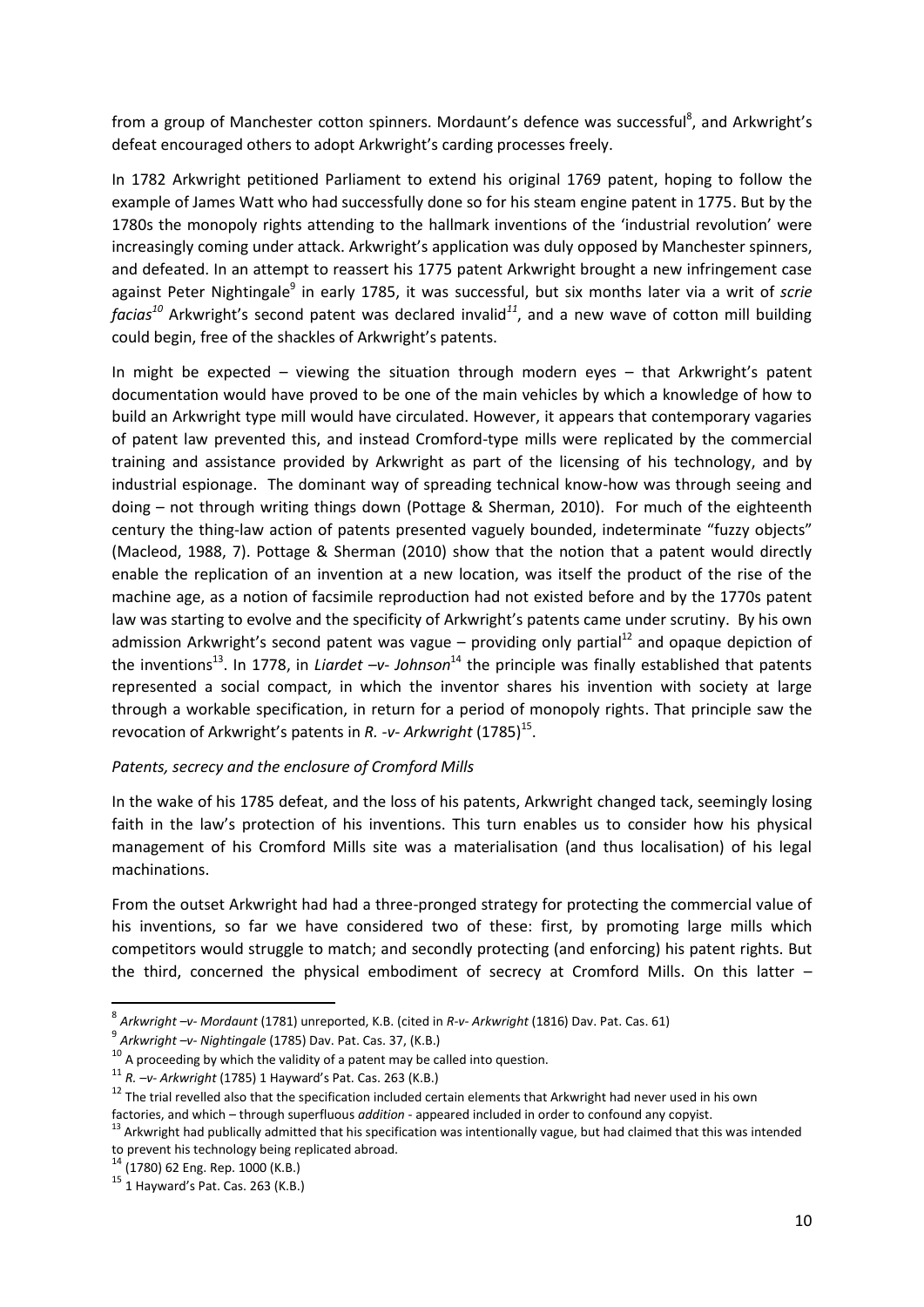from a group of Manchester cotton spinners. Mordaunt's defence was successful<sup>8</sup>, and Arkwright's defeat encouraged others to adopt Arkwright's carding processes freely.

In 1782 Arkwright petitioned Parliament to extend his original 1769 patent, hoping to follow the example of James Watt who had successfully done so for his steam engine patent in 1775. But by the 1780s the monopoly rights attending to the hallmark inventions of the 'industrial revolution' were increasingly coming under attack. Arkwright's application was duly opposed by Manchester spinners, and defeated. In an attempt to reassert his 1775 patent Arkwright brought a new infringement case against Peter Nightingale<sup>9</sup> in early 1785, it was successful, but six months later via a writ of *scrie facias<sup>10</sup>* Arkwright's second patent was declared invalid*<sup>11</sup>*, and a new wave of cotton mill building could begin, free of the shackles of Arkwright's patents.

In might be expected – viewing the situation through modern eyes – that Arkwright's patent documentation would have proved to be one of the main vehicles by which a knowledge of how to build an Arkwright type mill would have circulated. However, it appears that contemporary vagaries of patent law prevented this, and instead Cromford-type mills were replicated by the commercial training and assistance provided by Arkwright as part of the licensing of his technology, and by industrial espionage. The dominant way of spreading technical know-how was through seeing and doing – not through writing things down (Pottage & Sherman, 2010). For much of the eighteenth century the thing-law action of patents presented vaguely bounded, indeterminate "fuzzy objects" (Macleod, 1988, 7). Pottage & Sherman (2010) show that the notion that a patent would directly enable the replication of an invention at a new location, was itself the product of the rise of the machine age, as a notion of facsimile reproduction had not existed before and by the 1770s patent law was starting to evolve and the specificity of Arkwright's patents came under scrutiny. By his own admission Arkwright's second patent was vague – providing only partial<sup>12</sup> and opaque depiction of the inventions<sup>13</sup>. In 1778, in *Liardet -v- Johnson*<sup>14</sup> the principle was finally established that patents represented a social compact, in which the inventor shares his invention with society at large through a workable specification, in return for a period of monopoly rights. That principle saw the revocation of Arkwright's patents in *R. -v- Arkwright* (1785) 15 .

#### *Patents, secrecy and the enclosure of Cromford Mills*

In the wake of his 1785 defeat, and the loss of his patents, Arkwright changed tack, seemingly losing faith in the law's protection of his inventions. This turn enables us to consider how his physical management of his Cromford Mills site was a materialisation (and thus localisation) of his legal machinations.

From the outset Arkwright had had a three-pronged strategy for protecting the commercial value of his inventions, so far we have considered two of these: first, by promoting large mills which competitors would struggle to match; and secondly protecting (and enforcing) his patent rights. But the third, concerned the physical embodiment of secrecy at Cromford Mills. On this latter –

1

<sup>8</sup> *Arkwright –v- Mordaunt* (1781) unreported, K.B. (cited in *R-v- Arkwright* (1816) Dav. Pat. Cas. 61)

<sup>9</sup> *Arkwright –v- Nightingale* (1785) Dav. Pat. Cas. 37, (K.B.)

<sup>&</sup>lt;sup>10</sup> A proceeding by which the validity of a patent may be called into question.

<sup>11</sup> *R. –v- Arkwright* (1785) 1 Hayward's Pat. Cas. 263 (K.B.)

<sup>&</sup>lt;sup>12</sup> The trial revelled also that the specification included certain elements that Arkwright had never used in his own factories, and which – through superfluous *addition* - appeared included in order to confound any copyist.

<sup>13</sup> Arkwright had publically admitted that his specification was intentionally vague, but had claimed that this was intended to prevent his technology being replicated abroad.

<sup>14</sup> (1780) 62 Eng. Rep. 1000 (K.B.)

 $15$  1 Havward's Pat. Cas. 263 (K.B.)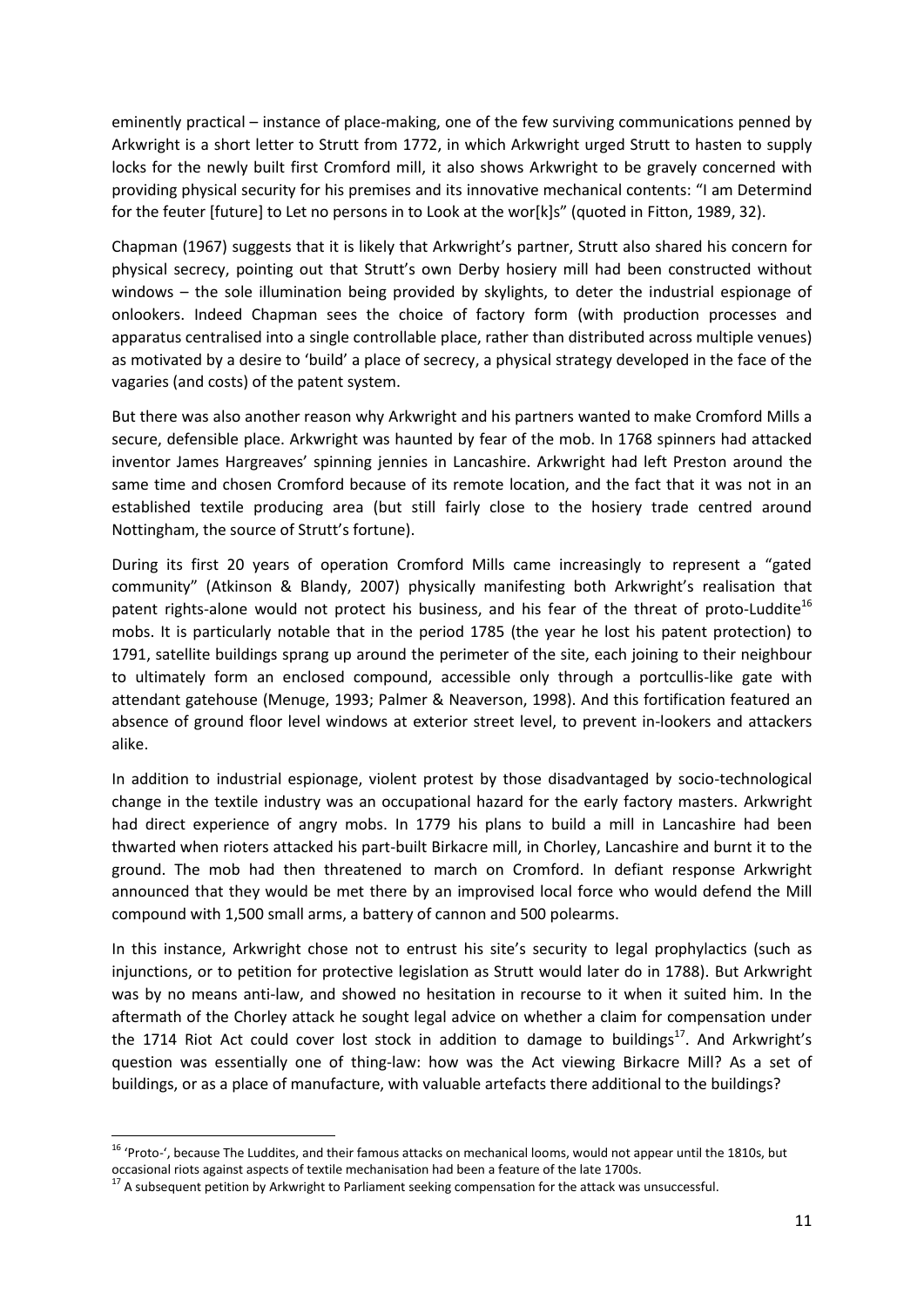eminently practical – instance of place-making, one of the few surviving communications penned by Arkwright is a short letter to Strutt from 1772, in which Arkwright urged Strutt to hasten to supply locks for the newly built first Cromford mill, it also shows Arkwright to be gravely concerned with providing physical security for his premises and its innovative mechanical contents: "I am Determind for the feuter [future] to Let no persons in to Look at the wor[k]s" (quoted in Fitton, 1989, 32).

Chapman (1967) suggests that it is likely that Arkwright's partner, Strutt also shared his concern for physical secrecy, pointing out that Strutt's own Derby hosiery mill had been constructed without windows – the sole illumination being provided by skylights, to deter the industrial espionage of onlookers. Indeed Chapman sees the choice of factory form (with production processes and apparatus centralised into a single controllable place, rather than distributed across multiple venues) as motivated by a desire to 'build' a place of secrecy, a physical strategy developed in the face of the vagaries (and costs) of the patent system.

But there was also another reason why Arkwright and his partners wanted to make Cromford Mills a secure, defensible place. Arkwright was haunted by fear of the mob. In 1768 spinners had attacked inventor James Hargreaves' spinning jennies in Lancashire. Arkwright had left Preston around the same time and chosen Cromford because of its remote location, and the fact that it was not in an established textile producing area (but still fairly close to the hosiery trade centred around Nottingham, the source of Strutt's fortune).

During its first 20 years of operation Cromford Mills came increasingly to represent a "gated community" (Atkinson & Blandy, 2007) physically manifesting both Arkwright's realisation that patent rights-alone would not protect his business, and his fear of the threat of proto-Luddite<sup>16</sup> mobs. It is particularly notable that in the period 1785 (the year he lost his patent protection) to 1791, satellite buildings sprang up around the perimeter of the site, each joining to their neighbour to ultimately form an enclosed compound, accessible only through a portcullis-like gate with attendant gatehouse (Menuge, 1993; Palmer & Neaverson, 1998). And this fortification featured an absence of ground floor level windows at exterior street level, to prevent in-lookers and attackers alike.

In addition to industrial espionage, violent protest by those disadvantaged by socio-technological change in the textile industry was an occupational hazard for the early factory masters. Arkwright had direct experience of angry mobs. In 1779 his plans to build a mill in Lancashire had been thwarted when rioters attacked his part-built Birkacre mill, in Chorley, Lancashire and burnt it to the ground. The mob had then threatened to march on Cromford. In defiant response Arkwright announced that they would be met there by an improvised local force who would defend the Mill compound with 1,500 small arms, a battery of cannon and 500 polearms.

In this instance, Arkwright chose not to entrust his site's security to legal prophylactics (such as injunctions, or to petition for protective legislation as Strutt would later do in 1788). But Arkwright was by no means anti-law, and showed no hesitation in recourse to it when it suited him. In the aftermath of the Chorley attack he sought legal advice on whether a claim for compensation under the 1714 Riot Act could cover lost stock in addition to damage to buildings<sup>17</sup>. And Arkwright's question was essentially one of thing-law: how was the Act viewing Birkacre Mill? As a set of buildings, or as a place of manufacture, with valuable artefacts there additional to the buildings?

1

<sup>&</sup>lt;sup>16</sup> 'Proto-', because The Luddites, and their famous attacks on mechanical looms, would not appear until the 1810s, but occasional riots against aspects of textile mechanisation had been a feature of the late 1700s.

<sup>&</sup>lt;sup>17</sup> A subsequent petition by Arkwright to Parliament seeking compensation for the attack was unsuccessful.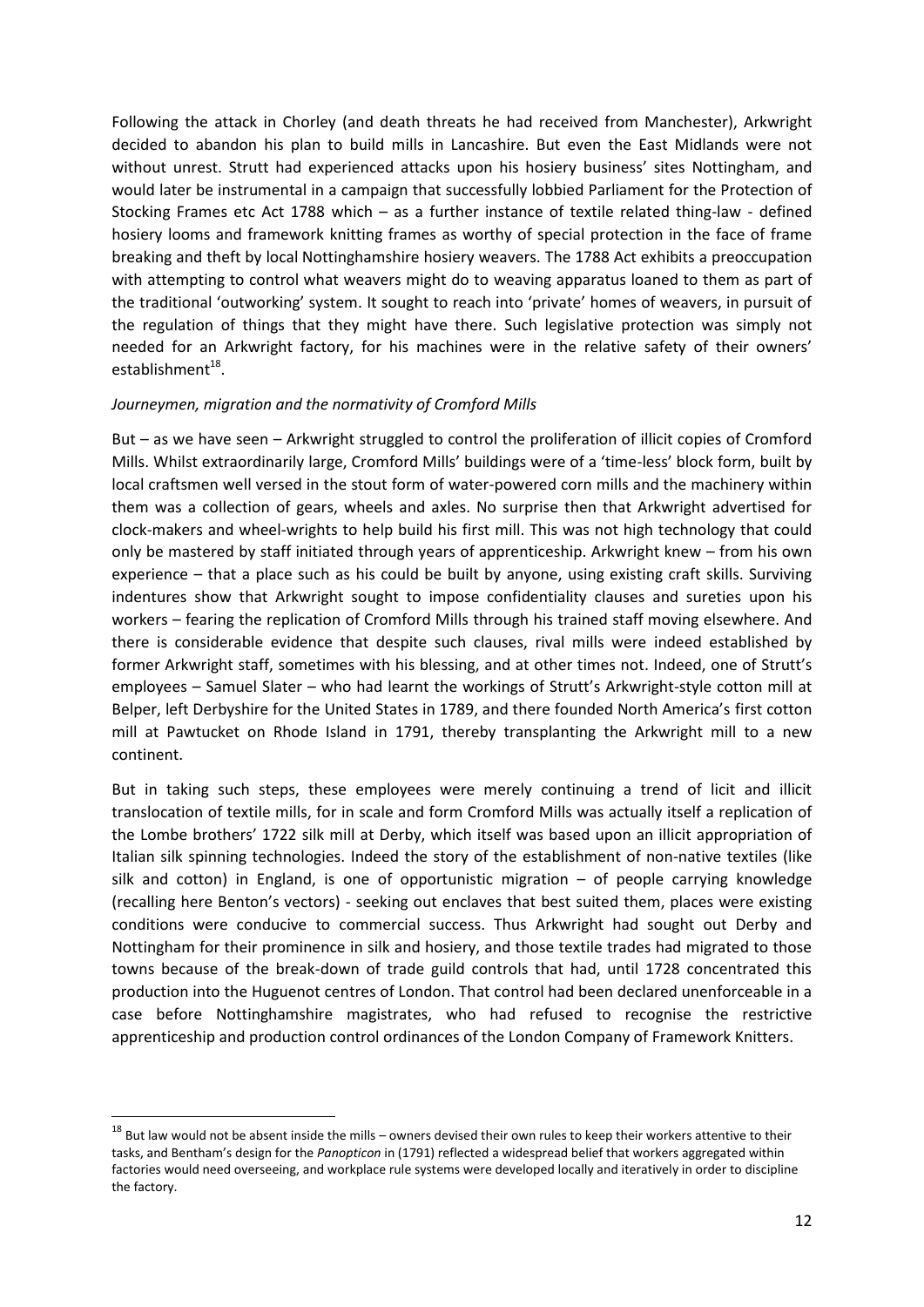Following the attack in Chorley (and death threats he had received from Manchester), Arkwright decided to abandon his plan to build mills in Lancashire. But even the East Midlands were not without unrest. Strutt had experienced attacks upon his hosiery business' sites Nottingham, and would later be instrumental in a campaign that successfully lobbied Parliament for the Protection of Stocking Frames etc Act 1788 which – as a further instance of textile related thing-law - defined hosiery looms and framework knitting frames as worthy of special protection in the face of frame breaking and theft by local Nottinghamshire hosiery weavers. The 1788 Act exhibits a preoccupation with attempting to control what weavers might do to weaving apparatus loaned to them as part of the traditional 'outworking' system. It sought to reach into 'private' homes of weavers, in pursuit of the regulation of things that they might have there. Such legislative protection was simply not needed for an Arkwright factory, for his machines were in the relative safety of their owners' establishment<sup>18</sup>.

#### *Journeymen, migration and the normativity of Cromford Mills*

But – as we have seen – Arkwright struggled to control the proliferation of illicit copies of Cromford Mills. Whilst extraordinarily large, Cromford Mills' buildings were of a 'time-less' block form, built by local craftsmen well versed in the stout form of water-powered corn mills and the machinery within them was a collection of gears, wheels and axles. No surprise then that Arkwright advertised for clock-makers and wheel-wrights to help build his first mill. This was not high technology that could only be mastered by staff initiated through years of apprenticeship. Arkwright knew – from his own experience – that a place such as his could be built by anyone, using existing craft skills. Surviving indentures show that Arkwright sought to impose confidentiality clauses and sureties upon his workers – fearing the replication of Cromford Mills through his trained staff moving elsewhere. And there is considerable evidence that despite such clauses, rival mills were indeed established by former Arkwright staff, sometimes with his blessing, and at other times not. Indeed, one of Strutt's employees – Samuel Slater – who had learnt the workings of Strutt's Arkwright-style cotton mill at Belper, left Derbyshire for the United States in 1789, and there founded North America's first cotton mill at Pawtucket on Rhode Island in 1791, thereby transplanting the Arkwright mill to a new continent.

But in taking such steps, these employees were merely continuing a trend of licit and illicit translocation of textile mills, for in scale and form Cromford Mills was actually itself a replication of the Lombe brothers' 1722 silk mill at Derby, which itself was based upon an illicit appropriation of Italian silk spinning technologies. Indeed the story of the establishment of non-native textiles (like silk and cotton) in England, is one of opportunistic migration – of people carrying knowledge (recalling here Benton's vectors) - seeking out enclaves that best suited them, places were existing conditions were conducive to commercial success. Thus Arkwright had sought out Derby and Nottingham for their prominence in silk and hosiery, and those textile trades had migrated to those towns because of the break-down of trade guild controls that had, until 1728 concentrated this production into the Huguenot centres of London. That control had been declared unenforceable in a case before Nottinghamshire magistrates, who had refused to recognise the restrictive apprenticeship and production control ordinances of the London Company of Framework Knitters.

**.** 

 $18$  But law would not be absent inside the mills – owners devised their own rules to keep their workers attentive to their tasks, and Bentham's design for the *Panopticon* in (1791) reflected a widespread belief that workers aggregated within factories would need overseeing, and workplace rule systems were developed locally and iteratively in order to discipline the factory.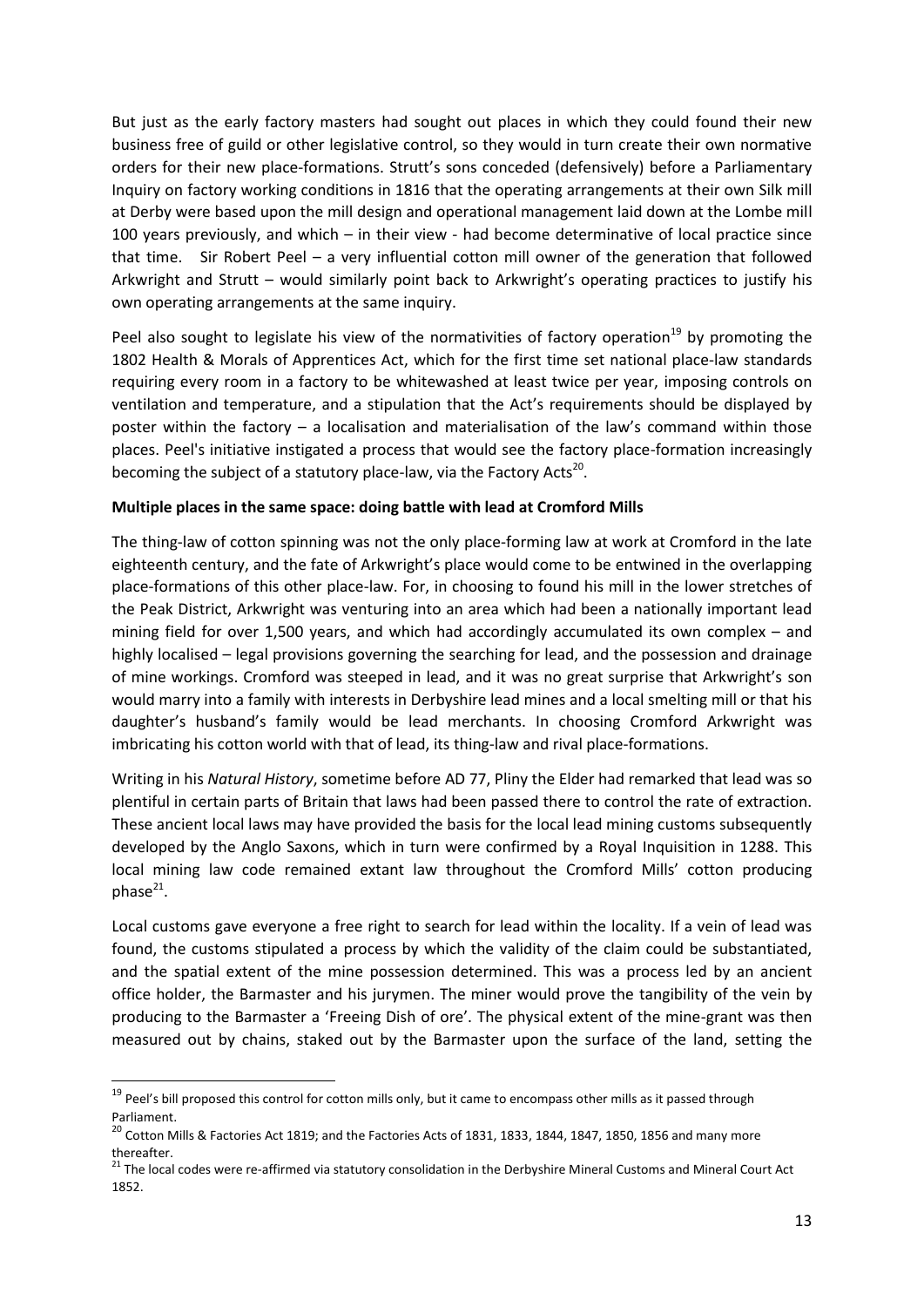But just as the early factory masters had sought out places in which they could found their new business free of guild or other legislative control, so they would in turn create their own normative orders for their new place-formations. Strutt's sons conceded (defensively) before a Parliamentary Inquiry on factory working conditions in 1816 that the operating arrangements at their own Silk mill at Derby were based upon the mill design and operational management laid down at the Lombe mill 100 years previously, and which – in their view - had become determinative of local practice since that time. Sir Robert Peel – a very influential cotton mill owner of the generation that followed Arkwright and Strutt – would similarly point back to Arkwright's operating practices to justify his own operating arrangements at the same inquiry.

Peel also sought to legislate his view of the normativities of factory operation<sup>19</sup> by promoting the 1802 Health & Morals of Apprentices Act, which for the first time set national place-law standards requiring every room in a factory to be whitewashed at least twice per year, imposing controls on ventilation and temperature, and a stipulation that the Act's requirements should be displayed by poster within the factory – a localisation and materialisation of the law's command within those places. Peel's initiative instigated a process that would see the factory place-formation increasingly becoming the subject of a statutory place-law, via the Factory Acts<sup>20</sup>.

#### **Multiple places in the same space: doing battle with lead at Cromford Mills**

The thing-law of cotton spinning was not the only place-forming law at work at Cromford in the late eighteenth century, and the fate of Arkwright's place would come to be entwined in the overlapping place-formations of this other place-law. For, in choosing to found his mill in the lower stretches of the Peak District, Arkwright was venturing into an area which had been a nationally important lead mining field for over 1,500 years, and which had accordingly accumulated its own complex – and highly localised – legal provisions governing the searching for lead, and the possession and drainage of mine workings. Cromford was steeped in lead, and it was no great surprise that Arkwright's son would marry into a family with interests in Derbyshire lead mines and a local smelting mill or that his daughter's husband's family would be lead merchants. In choosing Cromford Arkwright was imbricating his cotton world with that of lead, its thing-law and rival place-formations.

Writing in his *Natural History*, sometime before AD 77, Pliny the Elder had remarked that lead was so plentiful in certain parts of Britain that laws had been passed there to control the rate of extraction. These ancient local laws may have provided the basis for the local lead mining customs subsequently developed by the Anglo Saxons, which in turn were confirmed by a Royal Inquisition in 1288. This local mining law code remained extant law throughout the Cromford Mills' cotton producing  $phase<sup>21</sup>$ .

Local customs gave everyone a free right to search for lead within the locality. If a vein of lead was found, the customs stipulated a process by which the validity of the claim could be substantiated, and the spatial extent of the mine possession determined. This was a process led by an ancient office holder, the Barmaster and his jurymen. The miner would prove the tangibility of the vein by producing to the Barmaster a 'Freeing Dish of ore'. The physical extent of the mine-grant was then measured out by chains, staked out by the Barmaster upon the surface of the land, setting the

**.** 

 $19$  Peel's bill proposed this control for cotton mills only, but it came to encompass other mills as it passed through Parliament.

 $^{20}$  Cotton Mills & Factories Act 1819; and the Factories Acts of 1831, 1833, 1844, 1847, 1850, 1856 and many more thereafter.

<sup>&</sup>lt;sup>21</sup> The local codes were re-affirmed via statutory consolidation in the Derbyshire Mineral Customs and Mineral Court Act 1852.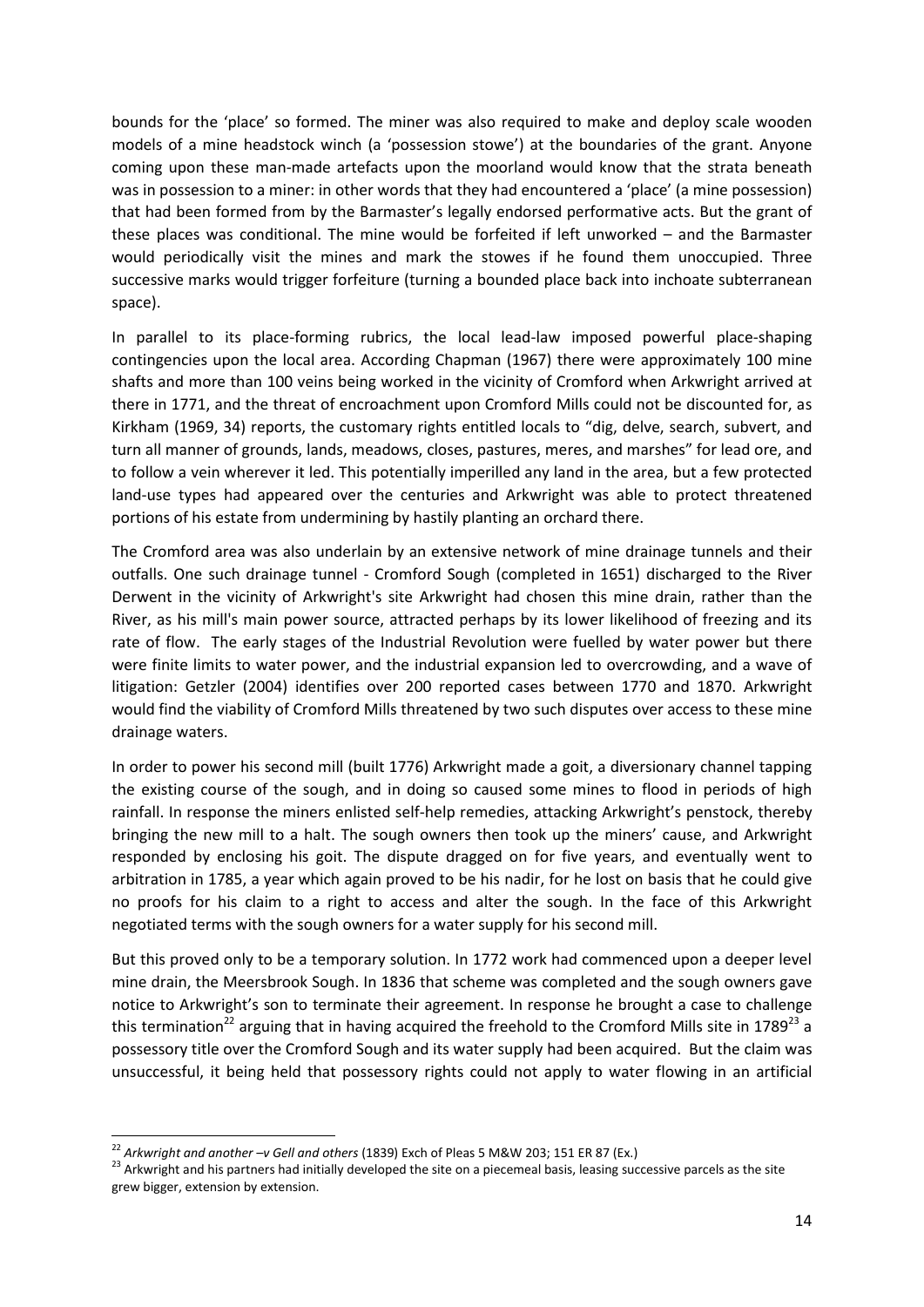bounds for the 'place' so formed. The miner was also required to make and deploy scale wooden models of a mine headstock winch (a 'possession stowe') at the boundaries of the grant. Anyone coming upon these man-made artefacts upon the moorland would know that the strata beneath was in possession to a miner: in other words that they had encountered a 'place' (a mine possession) that had been formed from by the Barmaster's legally endorsed performative acts. But the grant of these places was conditional. The mine would be forfeited if left unworked – and the Barmaster would periodically visit the mines and mark the stowes if he found them unoccupied. Three successive marks would trigger forfeiture (turning a bounded place back into inchoate subterranean space).

In parallel to its place-forming rubrics, the local lead-law imposed powerful place-shaping contingencies upon the local area. According Chapman (1967) there were approximately 100 mine shafts and more than 100 veins being worked in the vicinity of Cromford when Arkwright arrived at there in 1771, and the threat of encroachment upon Cromford Mills could not be discounted for, as Kirkham (1969, 34) reports, the customary rights entitled locals to "dig, delve, search, subvert, and turn all manner of grounds, lands, meadows, closes, pastures, meres, and marshes" for lead ore, and to follow a vein wherever it led. This potentially imperilled any land in the area, but a few protected land-use types had appeared over the centuries and Arkwright was able to protect threatened portions of his estate from undermining by hastily planting an orchard there.

The Cromford area was also underlain by an extensive network of mine drainage tunnels and their outfalls. One such drainage tunnel - Cromford Sough (completed in 1651) discharged to the River Derwent in the vicinity of Arkwright's site Arkwright had chosen this mine drain, rather than the River, as his mill's main power source, attracted perhaps by its lower likelihood of freezing and its rate of flow. The early stages of the Industrial Revolution were fuelled by water power but there were finite limits to water power, and the industrial expansion led to overcrowding, and a wave of litigation: Getzler (2004) identifies over 200 reported cases between 1770 and 1870. Arkwright would find the viability of Cromford Mills threatened by two such disputes over access to these mine drainage waters.

In order to power his second mill (built 1776) Arkwright made a goit, a diversionary channel tapping the existing course of the sough, and in doing so caused some mines to flood in periods of high rainfall. In response the miners enlisted self-help remedies, attacking Arkwright's penstock, thereby bringing the new mill to a halt. The sough owners then took up the miners' cause, and Arkwright responded by enclosing his goit. The dispute dragged on for five years, and eventually went to arbitration in 1785, a year which again proved to be his nadir, for he lost on basis that he could give no proofs for his claim to a right to access and alter the sough. In the face of this Arkwright negotiated terms with the sough owners for a water supply for his second mill.

But this proved only to be a temporary solution. In 1772 work had commenced upon a deeper level mine drain, the Meersbrook Sough. In 1836 that scheme was completed and the sough owners gave notice to Arkwright's son to terminate their agreement. In response he brought a case to challenge this termination<sup>22</sup> arguing that in having acquired the freehold to the Cromford Mills site in 1789<sup>23</sup> a possessory title over the Cromford Sough and its water supply had been acquired. But the claim was unsuccessful, it being held that possessory rights could not apply to water flowing in an artificial

1

<sup>22</sup> *Arkwright and another –v Gell and others* (1839) Exch of Pleas 5 M&W 203; 151 ER 87 (Ex.)

<sup>&</sup>lt;sup>23</sup> Arkwright and his partners had initially developed the site on a piecemeal basis, leasing successive parcels as the site grew bigger, extension by extension.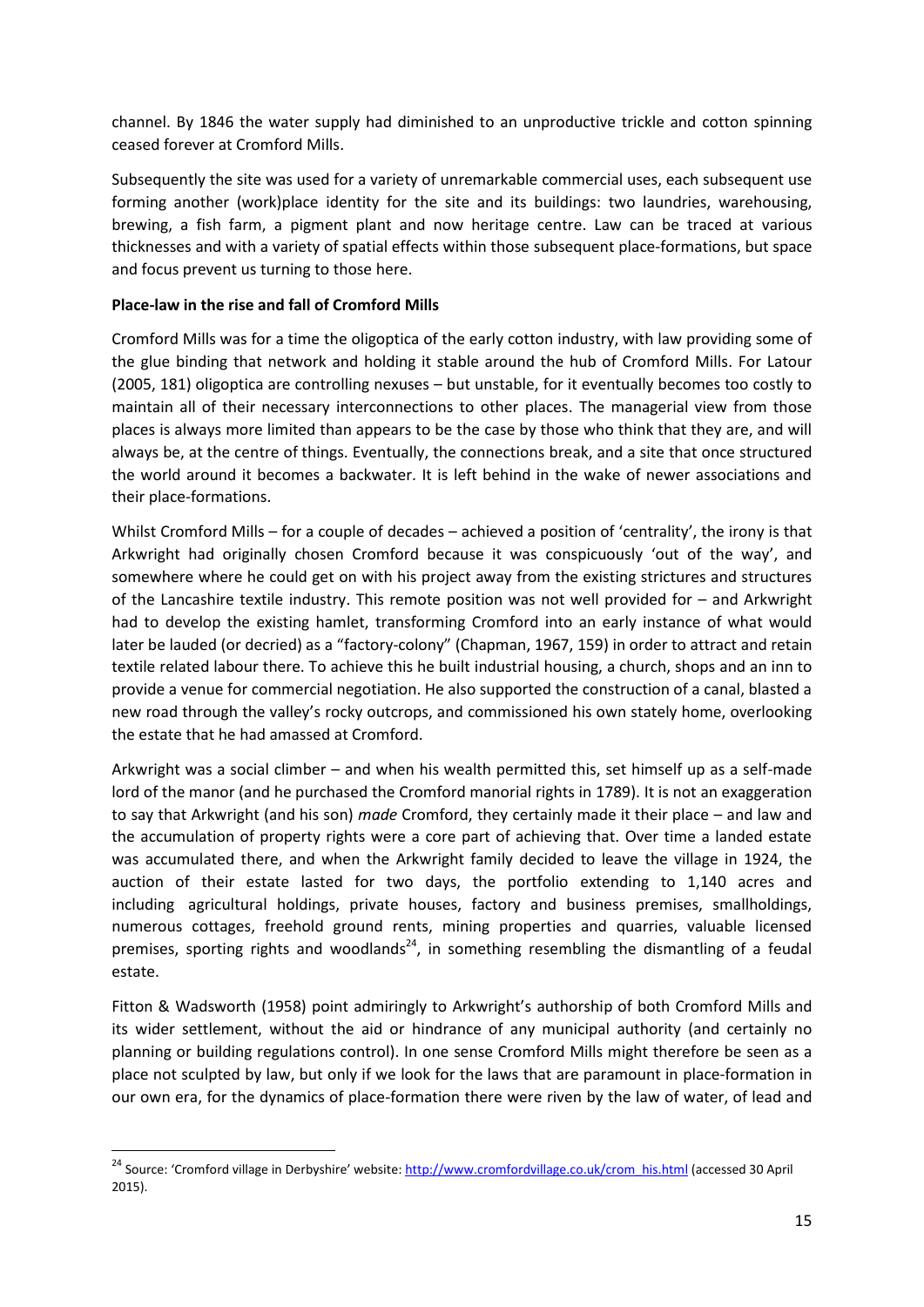channel. By 1846 the water supply had diminished to an unproductive trickle and cotton spinning ceased forever at Cromford Mills.

Subsequently the site was used for a variety of unremarkable commercial uses, each subsequent use forming another (work)place identity for the site and its buildings: two laundries, warehousing, brewing, a fish farm, a pigment plant and now heritage centre. Law can be traced at various thicknesses and with a variety of spatial effects within those subsequent place-formations, but space and focus prevent us turning to those here.

#### **Place-law in the rise and fall of Cromford Mills**

**.** 

Cromford Mills was for a time the oligoptica of the early cotton industry, with law providing some of the glue binding that network and holding it stable around the hub of Cromford Mills. For Latour (2005, 181) oligoptica are controlling nexuses – but unstable, for it eventually becomes too costly to maintain all of their necessary interconnections to other places. The managerial view from those places is always more limited than appears to be the case by those who think that they are, and will always be, at the centre of things. Eventually, the connections break, and a site that once structured the world around it becomes a backwater. It is left behind in the wake of newer associations and their place-formations.

Whilst Cromford Mills – for a couple of decades – achieved a position of 'centrality', the irony is that Arkwright had originally chosen Cromford because it was conspicuously 'out of the way', and somewhere where he could get on with his project away from the existing strictures and structures of the Lancashire textile industry. This remote position was not well provided for – and Arkwright had to develop the existing hamlet, transforming Cromford into an early instance of what would later be lauded (or decried) as a "factory-colony" (Chapman, 1967, 159) in order to attract and retain textile related labour there. To achieve this he built industrial housing, a church, shops and an inn to provide a venue for commercial negotiation. He also supported the construction of a canal, blasted a new road through the valley's rocky outcrops, and commissioned his own stately home, overlooking the estate that he had amassed at Cromford.

Arkwright was a social climber – and when his wealth permitted this, set himself up as a self-made lord of the manor (and he purchased the Cromford manorial rights in 1789). It is not an exaggeration to say that Arkwright (and his son) *made* Cromford, they certainly made it their place – and law and the accumulation of property rights were a core part of achieving that. Over time a landed estate was accumulated there, and when the Arkwright family decided to leave the village in 1924, the auction of their estate lasted for two days, the portfolio extending to 1,140 acres and including agricultural holdings, private houses, factory and business premises, smallholdings, numerous cottages, freehold ground rents, mining properties and quarries, valuable licensed premises, sporting rights and woodlands<sup>24</sup>, in something resembling the dismantling of a feudal estate.

Fitton & Wadsworth (1958) point admiringly to Arkwright's authorship of both Cromford Mills and its wider settlement, without the aid or hindrance of any municipal authority (and certainly no planning or building regulations control). In one sense Cromford Mills might therefore be seen as a place not sculpted by law, but only if we look for the laws that are paramount in place-formation in our own era, for the dynamics of place-formation there were riven by the law of water, of lead and

<sup>&</sup>lt;sup>24</sup> Source: 'Cromford village in Derbyshire' website: <u>[http://www.cromfordvillage.co.uk/crom\\_his.html](http://www.cromfordvillage.co.uk/crom_his.html)</u> (accessed 30 April 2015).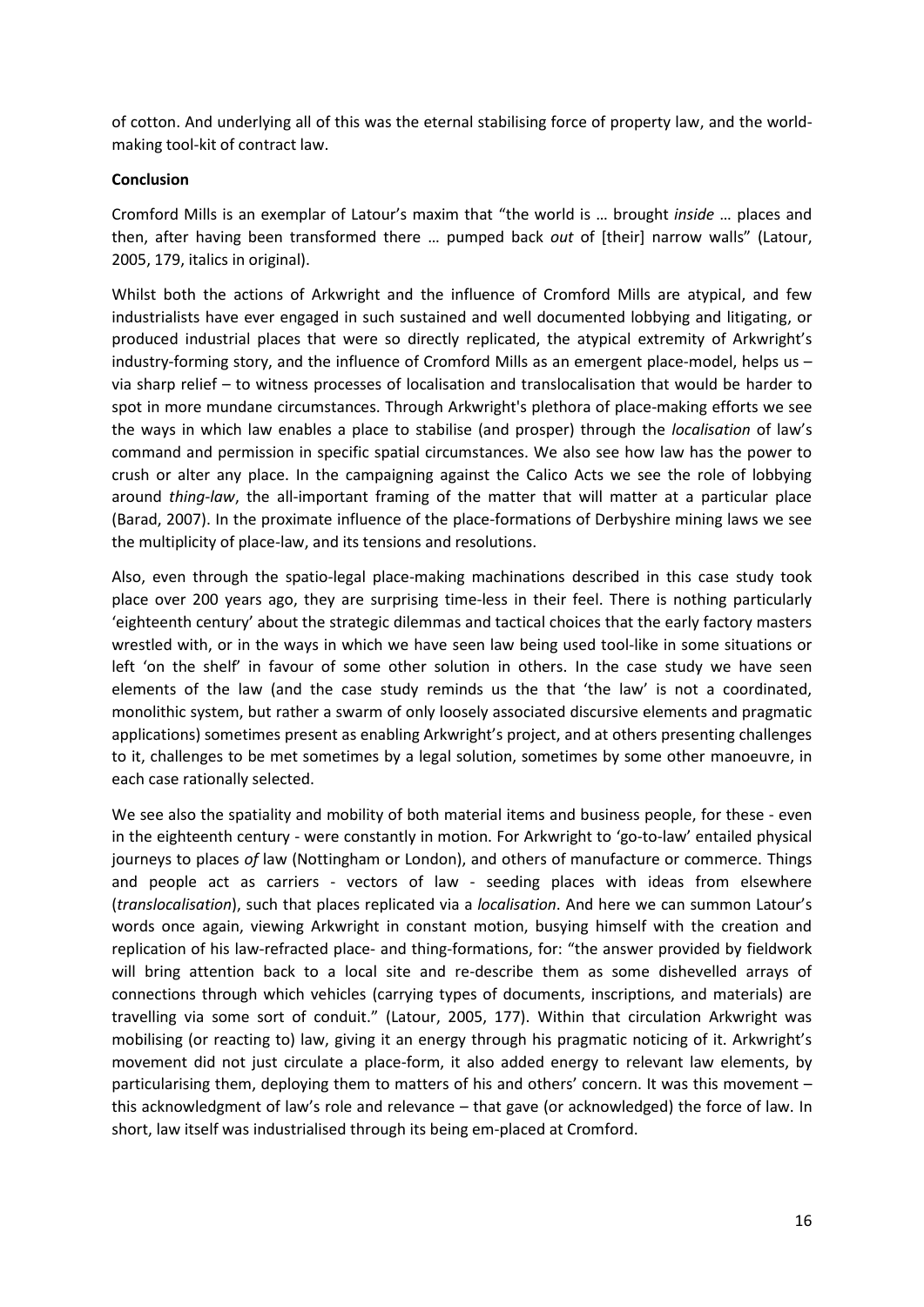of cotton. And underlying all of this was the eternal stabilising force of property law, and the worldmaking tool-kit of contract law.

#### **Conclusion**

Cromford Mills is an exemplar of Latour's maxim that "the world is … brought *inside* … places and then, after having been transformed there … pumped back *out* of [their] narrow walls" (Latour, 2005, 179, italics in original).

Whilst both the actions of Arkwright and the influence of Cromford Mills are atypical, and few industrialists have ever engaged in such sustained and well documented lobbying and litigating, or produced industrial places that were so directly replicated, the atypical extremity of Arkwright's industry-forming story, and the influence of Cromford Mills as an emergent place-model, helps us – via sharp relief – to witness processes of localisation and translocalisation that would be harder to spot in more mundane circumstances. Through Arkwright's plethora of place-making efforts we see the ways in which law enables a place to stabilise (and prosper) through the *localisation* of law's command and permission in specific spatial circumstances. We also see how law has the power to crush or alter any place. In the campaigning against the Calico Acts we see the role of lobbying around *thing-law*, the all-important framing of the matter that will matter at a particular place (Barad, 2007). In the proximate influence of the place-formations of Derbyshire mining laws we see the multiplicity of place-law, and its tensions and resolutions.

Also, even through the spatio-legal place-making machinations described in this case study took place over 200 years ago, they are surprising time-less in their feel. There is nothing particularly 'eighteenth century' about the strategic dilemmas and tactical choices that the early factory masters wrestled with, or in the ways in which we have seen law being used tool-like in some situations or left 'on the shelf' in favour of some other solution in others. In the case study we have seen elements of the law (and the case study reminds us the that 'the law' is not a coordinated, monolithic system, but rather a swarm of only loosely associated discursive elements and pragmatic applications) sometimes present as enabling Arkwright's project, and at others presenting challenges to it, challenges to be met sometimes by a legal solution, sometimes by some other manoeuvre, in each case rationally selected.

We see also the spatiality and mobility of both material items and business people, for these - even in the eighteenth century - were constantly in motion. For Arkwright to 'go-to-law' entailed physical journeys to places *of* law (Nottingham or London), and others of manufacture or commerce. Things and people act as carriers - vectors of law - seeding places with ideas from elsewhere (*translocalisation*), such that places replicated via a *localisation*. And here we can summon Latour's words once again, viewing Arkwright in constant motion, busying himself with the creation and replication of his law-refracted place- and thing-formations, for: "the answer provided by fieldwork will bring attention back to a local site and re-describe them as some dishevelled arrays of connections through which vehicles (carrying types of documents, inscriptions, and materials) are travelling via some sort of conduit." (Latour, 2005, 177). Within that circulation Arkwright was mobilising (or reacting to) law, giving it an energy through his pragmatic noticing of it. Arkwright's movement did not just circulate a place-form, it also added energy to relevant law elements, by particularising them, deploying them to matters of his and others' concern. It was this movement – this acknowledgment of law's role and relevance – that gave (or acknowledged) the force of law. In short, law itself was industrialised through its being em-placed at Cromford.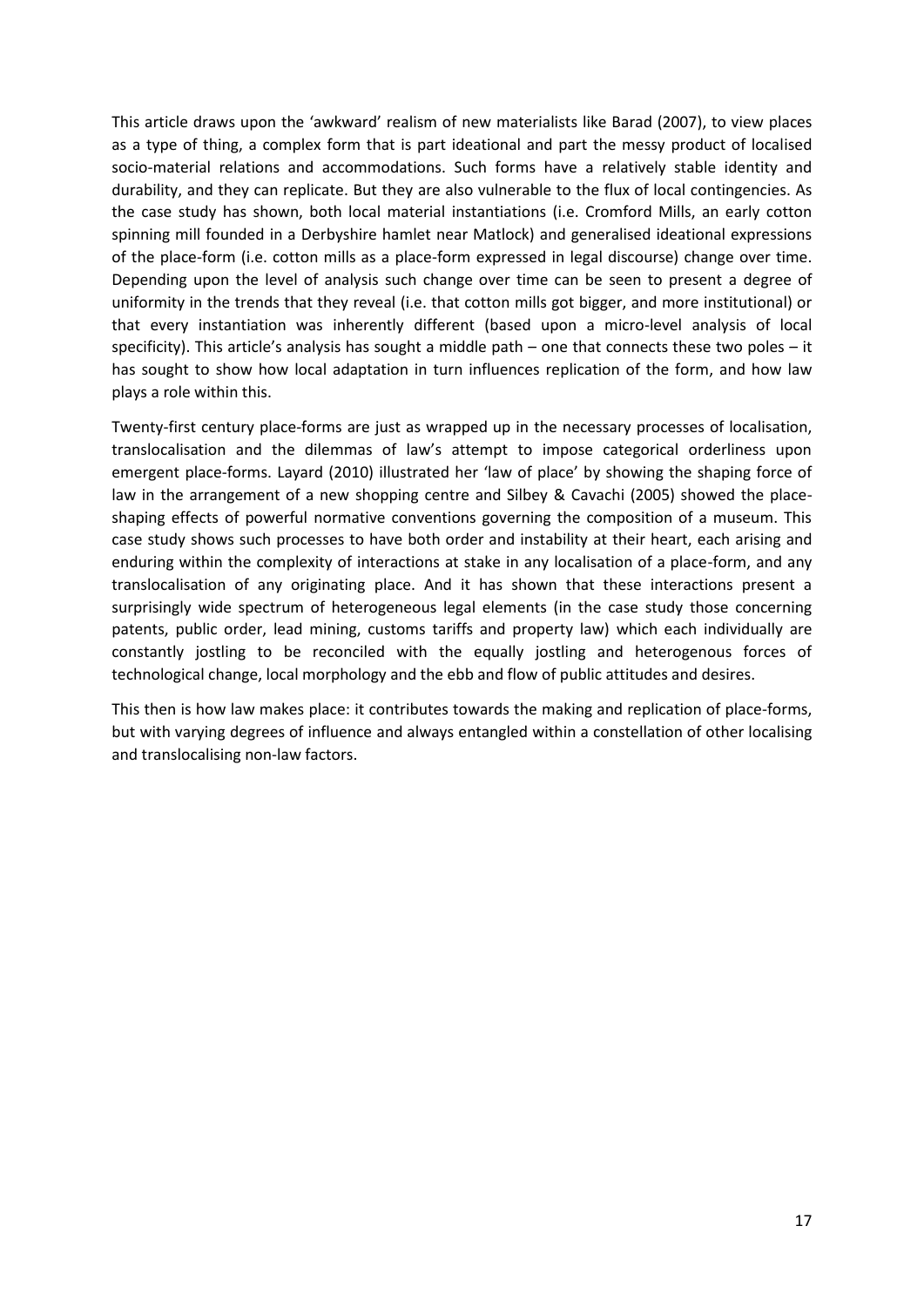This article draws upon the 'awkward' realism of new materialists like Barad (2007), to view places as a type of thing, a complex form that is part ideational and part the messy product of localised socio-material relations and accommodations. Such forms have a relatively stable identity and durability, and they can replicate. But they are also vulnerable to the flux of local contingencies. As the case study has shown, both local material instantiations (i.e. Cromford Mills, an early cotton spinning mill founded in a Derbyshire hamlet near Matlock) and generalised ideational expressions of the place-form (i.e. cotton mills as a place-form expressed in legal discourse) change over time. Depending upon the level of analysis such change over time can be seen to present a degree of uniformity in the trends that they reveal (i.e. that cotton mills got bigger, and more institutional) or that every instantiation was inherently different (based upon a micro-level analysis of local specificity). This article's analysis has sought a middle path – one that connects these two poles – it has sought to show how local adaptation in turn influences replication of the form, and how law plays a role within this.

Twenty-first century place-forms are just as wrapped up in the necessary processes of localisation, translocalisation and the dilemmas of law's attempt to impose categorical orderliness upon emergent place-forms. Layard (2010) illustrated her 'law of place' by showing the shaping force of law in the arrangement of a new shopping centre and Silbey & Cavachi (2005) showed the placeshaping effects of powerful normative conventions governing the composition of a museum. This case study shows such processes to have both order and instability at their heart, each arising and enduring within the complexity of interactions at stake in any localisation of a place-form, and any translocalisation of any originating place. And it has shown that these interactions present a surprisingly wide spectrum of heterogeneous legal elements (in the case study those concerning patents, public order, lead mining, customs tariffs and property law) which each individually are constantly jostling to be reconciled with the equally jostling and heterogenous forces of technological change, local morphology and the ebb and flow of public attitudes and desires.

This then is how law makes place: it contributes towards the making and replication of place-forms, but with varying degrees of influence and always entangled within a constellation of other localising and translocalising non-law factors.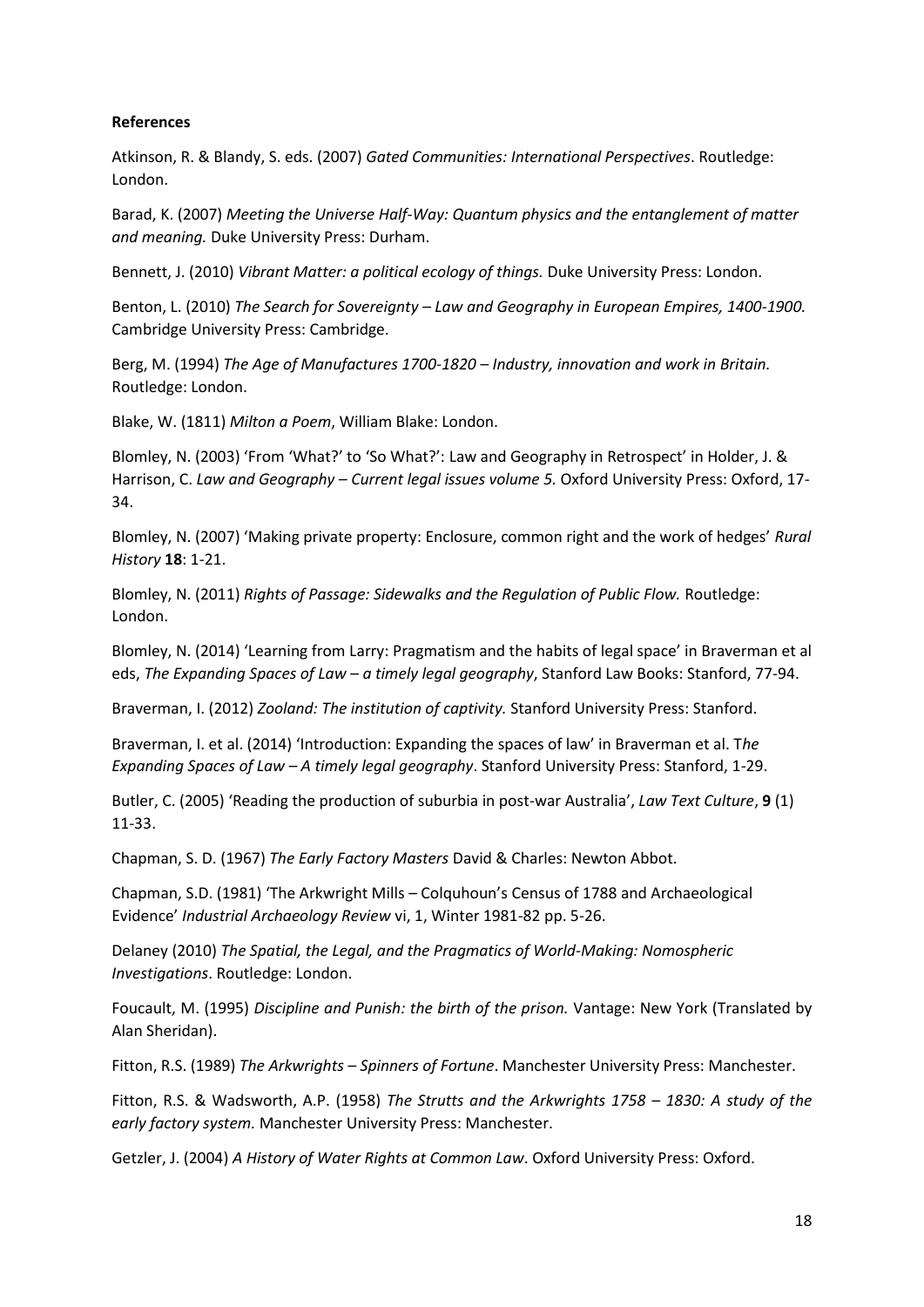#### **References**

Atkinson, R. & Blandy, S. eds. (2007) *Gated Communities: International Perspectives*. Routledge: London.

Barad, K. (2007) *Meeting the Universe Half-Way: Quantum physics and the entanglement of matter and meaning.* Duke University Press: Durham.

Bennett, J. (2010) *Vibrant Matter: a political ecology of things.* Duke University Press: London.

Benton, L. (2010) *The Search for Sovereignty – Law and Geography in European Empires, 1400-1900.*  Cambridge University Press: Cambridge.

Berg, M. (1994) *The Age of Manufactures 1700-1820 – Industry, innovation and work in Britain.* Routledge: London.

Blake, W. (1811) *Milton a Poem*, William Blake: London.

Blomley, N. (2003) 'From 'What?' to 'So What?': Law and Geography in Retrospect' in Holder, J. & Harrison, C. *Law and Geography – Current legal issues volume 5.* Oxford University Press: Oxford, 17- 34.

Blomley, N. (2007) 'Making private property: Enclosure, common right and the work of hedges' *Rural History* **18**: 1-21.

Blomley, N. (2011) *Rights of Passage: Sidewalks and the Regulation of Public Flow.* Routledge: London.

Blomley, N. (2014) 'Learning from Larry: Pragmatism and the habits of legal space' in Braverman et al eds, *The Expanding Spaces of Law – a timely legal geography*, Stanford Law Books: Stanford, 77-94.

Braverman, I. (2012) *Zooland: The institution of captivity.* Stanford University Press: Stanford.

Braverman, I. et al. (2014) 'Introduction: Expanding the spaces of law' in Braverman et al. T*he Expanding Spaces of Law – A timely legal geography*. Stanford University Press: Stanford, 1-29.

Butler, C. (2005) 'Reading the production of suburbia in post-war Australia', *Law Text Culture*, **9** (1) 11-33.

Chapman, S. D. (1967) *The Early Factory Masters* David & Charles: Newton Abbot.

Chapman, S.D. (1981) 'The Arkwright Mills – Colquhoun's Census of 1788 and Archaeological Evidence' *Industrial Archaeology Review* vi, 1, Winter 1981-82 pp. 5-26.

Delaney (2010) *The Spatial, the Legal, and the Pragmatics of World-Making: Nomospheric Investigations*. Routledge: London.

Foucault, M. (1995) *Discipline and Punish: the birth of the prison.* Vantage: New York (Translated by Alan Sheridan).

Fitton, R.S. (1989) *The Arkwrights – Spinners of Fortune*. Manchester University Press: Manchester.

Fitton, R.S. & Wadsworth, A.P. (1958) *The Strutts and the Arkwrights 1758 – 1830: A study of the early factory system.* Manchester University Press: Manchester.

Getzler, J. (2004) *A History of Water Rights at Common Law*. Oxford University Press: Oxford.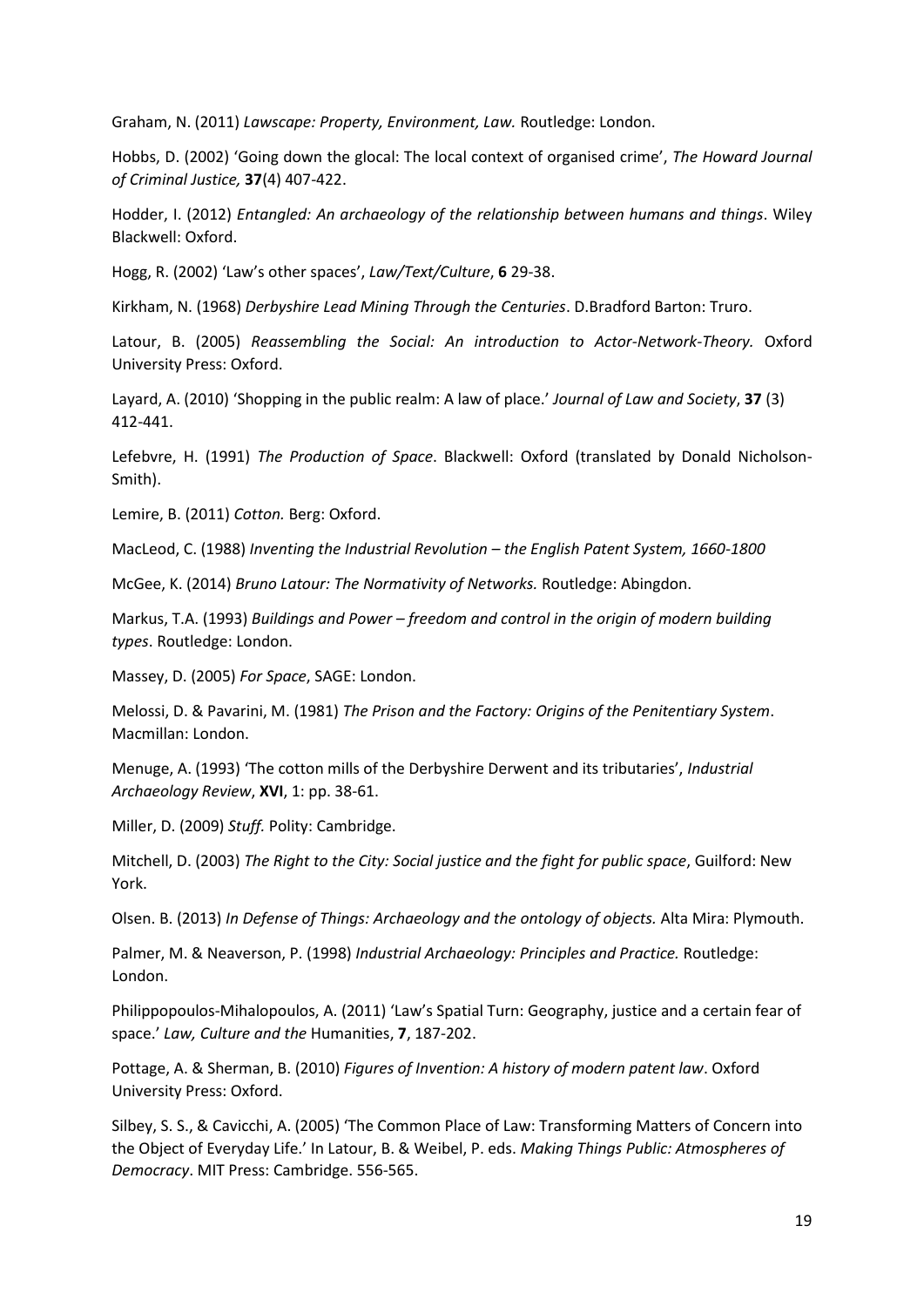Graham, N. (2011) *Lawscape: Property, Environment, Law.* Routledge: London.

Hobbs, D. (2002) 'Going down the glocal: The local context of organised crime', *The Howard Journal of Criminal Justice,* **37**(4) 407-422.

Hodder, I. (2012) *Entangled: An archaeology of the relationship between humans and things*. Wiley Blackwell: Oxford.

Hogg, R. (2002) 'Law's other spaces', *Law/Text/Culture*, **6** 29-38.

Kirkham, N. (1968) *Derbyshire Lead Mining Through the Centuries*. D.Bradford Barton: Truro.

Latour, B. (2005) *Reassembling the Social: An introduction to Actor-Network-Theory.* Oxford University Press: Oxford.

Layard, A. (2010) 'Shopping in the public realm: A law of place.' *Journal of Law and Society*, **37** (3) 412-441.

Lefebvre, H. (1991) *The Production of Space*. Blackwell: Oxford (translated by Donald Nicholson-Smith).

Lemire, B. (2011) *Cotton.* Berg: Oxford.

MacLeod, C. (1988) *Inventing the Industrial Revolution – the English Patent System, 1660-1800*

McGee, K. (2014) *Bruno Latour: The Normativity of Networks.* Routledge: Abingdon.

Markus, T.A. (1993) *Buildings and Power – freedom and control in the origin of modern building types*. Routledge: London.

Massey, D. (2005) *For Space*, SAGE: London.

Melossi, D. & Pavarini, M. (1981) *The Prison and the Factory: Origins of the Penitentiary System*. Macmillan: London.

Menuge, A. (1993) 'The cotton mills of the Derbyshire Derwent and its tributaries', *Industrial Archaeology Review*, **XVI**, 1: pp. 38-61.

Miller, D. (2009) *Stuff.* Polity: Cambridge.

Mitchell, D. (2003) *The Right to the City: Social justice and the fight for public space*, Guilford: New York.

Olsen. B. (2013) *In Defense of Things: Archaeology and the ontology of objects.* Alta Mira: Plymouth.

Palmer, M. & Neaverson, P. (1998) *Industrial Archaeology: Principles and Practice.* Routledge: London.

Philippopoulos-Mihalopoulos, A. (2011) 'Law's Spatial Turn: Geography, justice and a certain fear of space.' *Law, Culture and the* Humanities, **7**, 187-202.

Pottage, A. & Sherman, B. (2010) *Figures of Invention: A history of modern patent law*. Oxford University Press: Oxford.

Silbey, S. S., & Cavicchi, A. (2005) 'The Common Place of Law: Transforming Matters of Concern into the Object of Everyday Life.' In Latour, B. & Weibel, P. eds. *Making Things Public: Atmospheres of Democracy*. MIT Press: Cambridge. 556-565.